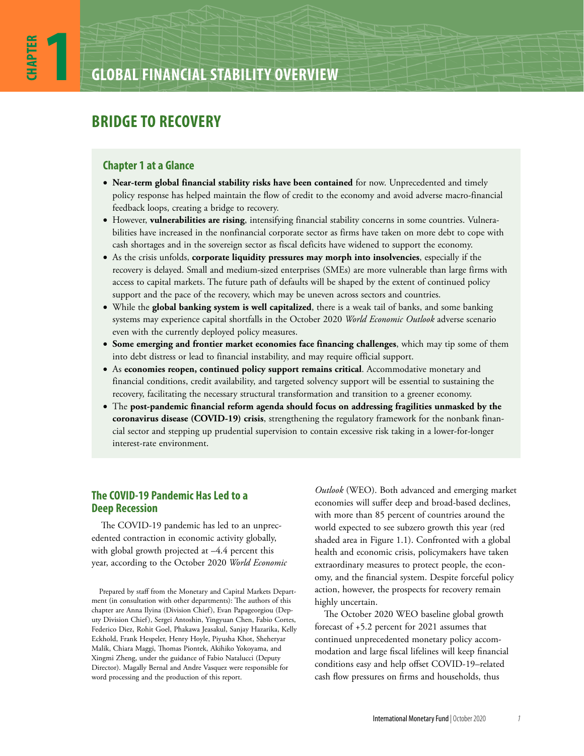# **BRIDGE TO RECOVERY**

# **Chapter 1 at a Glance**

- **Near-term global financial stability risks have been contained** for now. Unprecedented and timely policy response has helped maintain the flow of credit to the economy and avoid adverse macro-financial feedback loops, creating a bridge to recovery.
- However, **vulnerabilities are rising**, intensifying financial stability concerns in some countries. Vulnerabilities have increased in the nonfinancial corporate sector as firms have taken on more debt to cope with cash shortages and in the sovereign sector as fiscal deficits have widened to support the economy.
- As the crisis unfolds, **corporate liquidity pressures may morph into insolvencies**, especially if the recovery is delayed. Small and medium-sized enterprises (SMEs) are more vulnerable than large firms with access to capital markets. The future path of defaults will be shaped by the extent of continued policy support and the pace of the recovery, which may be uneven across sectors and countries.
- While the **global banking system is well capitalized**, there is a weak tail of banks, and some banking systems may experience capital shortfalls in the October 2020 *World Economic Outlook* adverse scenario even with the currently deployed policy measures.
- **Some emerging and frontier market economies face financing challenges**, which may tip some of them into debt distress or lead to financial instability, and may require official support.
- As **economies reopen, continued policy support remains critical**. Accommodative monetary and financial conditions, credit availability, and targeted solvency support will be essential to sustaining the recovery, facilitating the necessary structural transformation and transition to a greener economy.
- The **post-pandemic financial reform agenda should focus on addressing fragilities unmasked by the coronavirus disease (COVID-19) crisis**, strengthening the regulatory framework for the nonbank financial sector and stepping up prudential supervision to contain excessive risk taking in a lower-for-longer interest-rate environment.

# **The COVID-19 Pandemic Has Led to a Deep Recession**

The COVID-19 pandemic has led to an unprecedented contraction in economic activity globally, with global growth projected at  $-4.4$  percent this year, according to the October 2020 *World Economic* 

Prepared by staff from the Monetary and Capital Markets Department (in consultation with other departments): The authors of this chapter are Anna Ilyina (Division Chief), Evan Papageorgiou (Deputy Division Chief), Sergei Antoshin, Yingyuan Chen, Fabio Cortes, Federico Diez, Rohit Goel, Phakawa Jeasakul, Sanjay Hazarika, Kelly Eckhold, Frank Hespeler, Henry Hoyle, Piyusha Khot, Sheheryar Malik, Chiara Maggi, Thomas Piontek, Akihiko Yokoyama, and Xingmi Zheng, under the guidance of Fabio Natalucci (Deputy Director). Magally Bernal and Andre Vasquez were responsible for word processing and the production of this report.

*Outlook* (WEO). Both advanced and emerging market economies will suffer deep and broad-based declines, with more than 85 percent of countries around the world expected to see subzero growth this year (red shaded area in Figure 1.1). Confronted with a global health and economic crisis, policymakers have taken extraordinary measures to protect people, the economy, and the financial system. Despite forceful policy action, however, the prospects for recovery remain highly uncertain.

The October 2020 WEO baseline global growth forecast of +5.2 percent for 2021 assumes that continued unprecedented monetary policy accommodation and large fiscal lifelines will keep financial conditions easy and help offset COVID-19–related cash flow pressures on firms and households, thus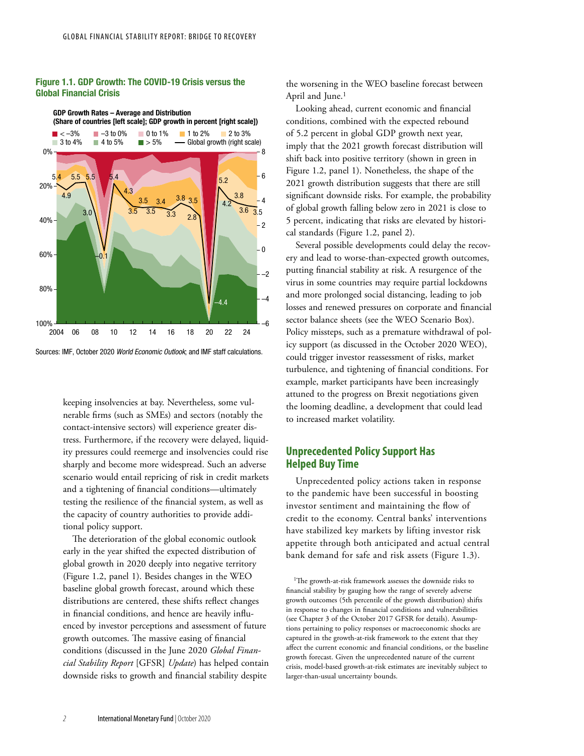## Figure 1.1. GDP Growth: The COVID-19 Crisis versus the Global Financial Crisis



Sources: IMF, October 2020 *World Economic Outlook*; and IMF staff calculations.

keeping insolvencies at bay. Nevertheless, some vulnerable firms (such as SMEs) and sectors (notably the contact-intensive sectors) will experience greater distress. Furthermore, if the recovery were delayed, liquidity pressures could reemerge and insolvencies could rise sharply and become more widespread. Such an adverse scenario would entail repricing of risk in credit markets and a tightening of financial conditions—ultimately testing the resilience of the financial system, as well as the capacity of country authorities to provide additional policy support.

The deterioration of the global economic outlook early in the year shifted the expected distribution of global growth in 2020 deeply into negative territory (Figure 1.2, panel 1). Besides changes in the WEO baseline global growth forecast, around which these distributions are centered, these shifts reflect changes in financial conditions, and hence are heavily influenced by investor perceptions and assessment of future growth outcomes. The massive easing of financial conditions (discussed in the June 2020 *Global Financial Stability Report* [GFSR] *Update*) has helped contain downside risks to growth and financial stability despite

the worsening in the WEO baseline forecast between April and June.<sup>1</sup>

Looking ahead, current economic and financial conditions, combined with the expected rebound of 5.2 percent in global GDP growth next year, imply that the 2021 growth forecast distribution will shift back into positive territory (shown in green in Figure 1.2, panel 1). Nonetheless, the shape of the 2021 growth distribution suggests that there are still significant downside risks. For example, the probability of global growth falling below zero in 2021 is close to 5 percent, indicating that risks are elevated by historical standards (Figure 1.2, panel 2).

Several possible developments could delay the recovery and lead to worse-than-expected growth outcomes, putting financial stability at risk. A resurgence of the virus in some countries may require partial lockdowns and more prolonged social distancing, leading to job losses and renewed pressures on corporate and financial sector balance sheets (see the WEO Scenario Box). Policy missteps, such as a premature withdrawal of policy support (as discussed in the October 2020 WEO), could trigger investor reassessment of risks, market turbulence, and tightening of financial conditions. For example, market participants have been increasingly attuned to the progress on Brexit negotiations given the looming deadline, a development that could lead to increased market volatility.

# **Unprecedented Policy Support Has Helped Buy Time**

Unprecedented policy actions taken in response to the pandemic have been successful in boosting investor sentiment and maintaining the flow of credit to the economy. Central banks' interventions have stabilized key markets by lifting investor risk appetite through both anticipated and actual central bank demand for safe and risk assets (Figure 1.3).

<sup>1</sup>The growth-at-risk framework assesses the downside risks to financial stability by gauging how the range of severely adverse growth outcomes (5th percentile of the growth distribution) shifts in response to changes in financial conditions and vulnerabilities (see Chapter 3 of the October 2017 GFSR for details). Assumptions pertaining to policy responses or macroeconomic shocks are captured in the growth-at-risk framework to the extent that they affect the current economic and financial conditions, or the baseline growth forecast. Given the unprecedented nature of the current crisis, model-based growth-at-risk estimates are inevitably subject to larger-than-usual uncertainty bounds.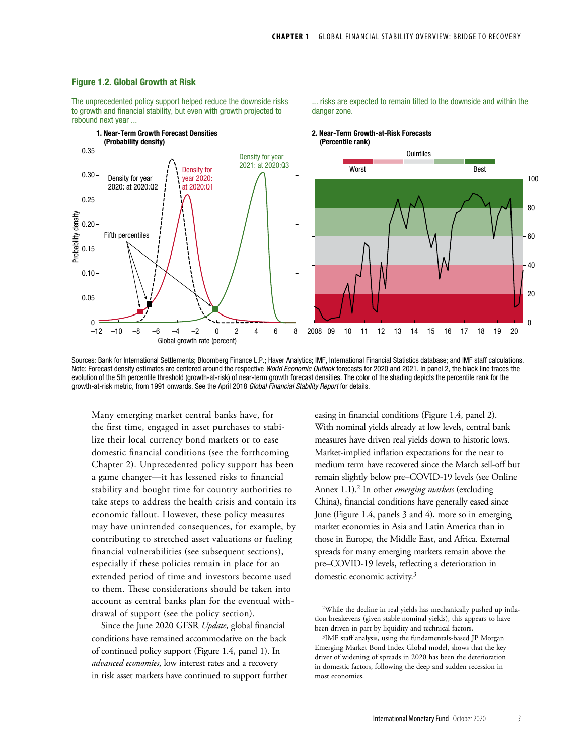... risks are expected to remain tilted to the downside and within the

#### Figure 1.2. Global Growth at Risk

The unprecedented policy support helped reduce the downside risks to growth and financial stability, but even with growth projected to rebound next year ...



danger zone.

Sources: Bank for International Settlements; Bloomberg Finance L.P.; Haver Analytics; IMF, International Financial Statistics database; and IMF staff calculations. Note: Forecast density estimates are centered around the respective *World Economic Outlook* forecasts for 2020 and 2021. In panel 2, the black line traces the evolution of the 5th percentile threshold (growth-at-risk) of near-term growth forecast densities. The color of the shading depicts the percentile rank for the growth-at-risk metric, from 1991 onwards. See the April 2018 *Global Financial Stability Report* for details.

Many emerging market central banks have, for the first time, engaged in asset purchases to stabilize their local currency bond markets or to ease domestic financial conditions (see the forthcoming Chapter 2). Unprecedented policy support has been a game changer—it has lessened risks to financial stability and bought time for country authorities to take steps to address the health crisis and contain its economic fallout. However, these policy measures may have unintended consequences, for example, by contributing to stretched asset valuations or fueling financial vulnerabilities (see subsequent sections), especially if these policies remain in place for an extended period of time and investors become used to them. These considerations should be taken into account as central banks plan for the eventual withdrawal of support (see the policy section).

Since the June 2020 GFSR *Update*, global financial conditions have remained accommodative on the back of continued policy support (Figure 1.4, panel 1). In *advanced economies*, low interest rates and a recovery in risk asset markets have continued to support further

easing in financial conditions (Figure 1.4, panel 2). With nominal yields already at low levels, central bank measures have driven real yields down to historic lows. Market-implied inflation expectations for the near to medium term have recovered since the March sell-off but remain slightly below pre–COVID-19 levels (see Online Annex 1.1).2 In other *emerging markets* (excluding China), financial conditions have generally eased since June (Figure 1.4, panels 3 and 4), more so in emerging market economies in Asia and Latin America than in those in Europe, the Middle East, and Africa. External spreads for many emerging markets remain above the pre–COVID-19 levels, reflecting a deterioration in domestic economic activity.<sup>3</sup>

<sup>2</sup>While the decline in real yields has mechanically pushed up inflation breakevens (given stable nominal yields), this appears to have been driven in part by liquidity and technical factors.

<sup>3</sup>IMF staff analysis, using the fundamentals-based JP Morgan Emerging Market Bond Index Global model, shows that the key driver of widening of spreads in 2020 has been the deterioration in domestic factors, following the deep and sudden recession in most economies.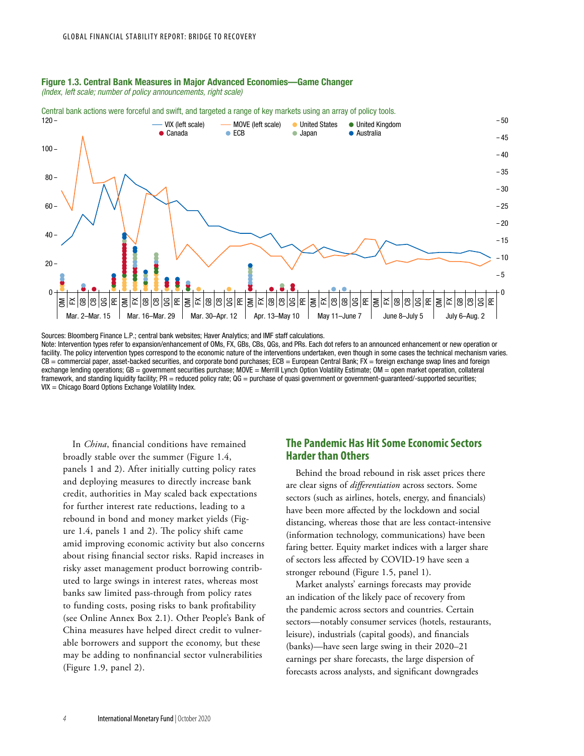# Figure 1.3. Central Bank Measures in Major Advanced Economies—Game Changer

*(Index, left scale; number of policy announcements, right scale)*

0 60 40 20 100  $80 120 \overline{0}$  $-20$  $-10$ 5  $-40$  $-30$  $-25$  $-15$  $-45$ 35  $-50$ OM FX සි පි g PR ౾ Mar. 2–Mar. 15 Mar. 16–Mar. 29 Mar. 30–Apr. 12 Apr. 13–May 10 May 11–June 7 June 8–July 5 July 6–Aug. 2 FXGBCBQGPR OMFXGBCBQGPR OMFXGBCBQGPR OMFXCBGBQGPR OMFXGBCBQGPR OMFXGBCBQG PR United Kingdom Japan VIX (left scale) Canada Australia **United States** ECB - MOVE (left scale)

Central bank actions were forceful and swift, and targeted a range of key markets using an array of policy tools.

Sources: Bloomberg Finance L.P.; central bank websites; Haver Analytics; and IMF staff calculations. Note: Intervention types refer to expansion/enhancement of OMs, FX, GBs, CBs, QGs, and PRs. Each dot refers to an announced enhancement or new operation or facility. The policy intervention types correspond to the economic nature of the interventions undertaken, even though in some cases the technical mechanism varies. CB = commercial paper, asset-backed securities, and corporate bond purchases; ECB = European Central Bank; FX = foreign exchange swap lines and foreign exchange lending operations; GB = government securities purchase; MOVE = Merrill Lynch Option Volatility Estimate; OM = open market operation, collateral framework, and standing liquidity facility; PR = reduced policy rate; QG = purchase of quasi government or government-guaranteed/-supported securities; VIX = Chicago Board Options Exchange Volatility Index.

In *China*, financial conditions have remained broadly stable over the summer (Figure 1.4, panels 1 and 2). After initially cutting policy rates and deploying measures to directly increase bank credit, authorities in May scaled back expectations for further interest rate reductions, leading to a rebound in bond and money market yields (Figure 1.4, panels 1 and 2). The policy shift came amid improving economic activity but also concerns about rising financial sector risks. Rapid increases in risky asset management product borrowing contributed to large swings in interest rates, whereas most banks saw limited pass-through from policy rates to funding costs, posing risks to bank profitability (see Online Annex Box 2.1). Other People's Bank of China measures have helped direct credit to vulnerable borrowers and support the economy, but these may be adding to nonfinancial sector vulnerabilities (Figure 1.9, panel 2).

# **The Pandemic Has Hit Some Economic Sectors Harder than Others**

Behind the broad rebound in risk asset prices there are clear signs of *differentiation* across sectors. Some sectors (such as airlines, hotels, energy, and financials) have been more affected by the lockdown and social distancing, whereas those that are less contact-intensive (information technology, communications) have been faring better. Equity market indices with a larger share of sectors less affected by COVID-19 have seen a stronger rebound (Figure 1.5, panel 1).

Market analysts' earnings forecasts may provide an indication of the likely pace of recovery from the pandemic across sectors and countries. Certain sectors—notably consumer services (hotels, restaurants, leisure), industrials (capital goods), and financials (banks)—have seen large swing in their 2020–21 earnings per share forecasts, the large dispersion of forecasts across analysts, and significant downgrades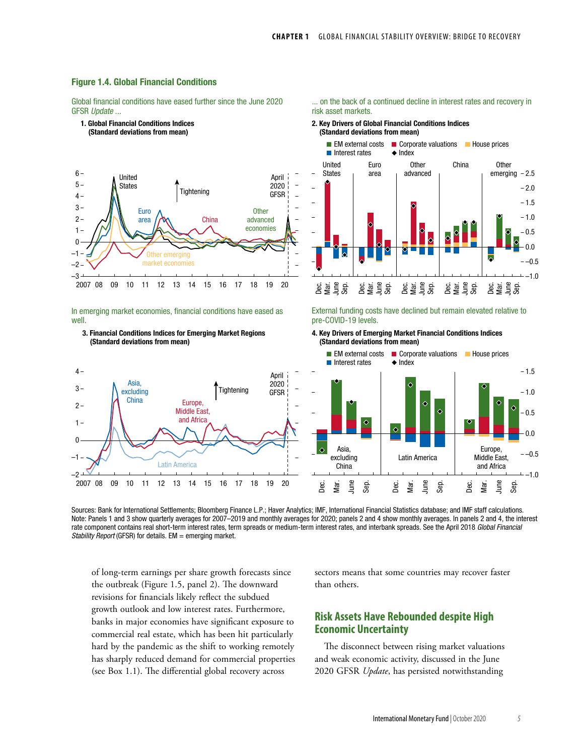

1. Global Financial Conditions Indices

Global financial conditions have eased further since the June 2020 GFSR *Update* ...



#### In emerging market economies, financial conditions have eased as well.



–2 –1



2. Key Drivers of Global Financial Conditions Indices (Standard deviations from mean)



External funding costs have declined but remain elevated relative to pre-COVID-19 levels.

4. Key Drivers of Emerging Market Financial Conditions Indices (Standard deviations from mean)



Sources: Bank for International Settlements; Bloomberg Finance L.P.; Haver Analytics; IMF, International Financial Statistics database; and IMF staff calculations. Note: Panels 1 and 3 show quarterly averages for 2007–2019 and monthly averages for 2020; panels 2 and 4 show monthly averages. In panels 2 and 4, the interest rate component contains real short-term interest rates, term spreads or medium-term interest rates, and interbank spreads. See the April 2018 *Global Financial Stability Report* (GFSR) for details. EM = emerging market.

of long-term earnings per share growth forecasts since the outbreak (Figure 1.5, panel 2). The downward revisions for financials likely reflect the subdued growth outlook and low interest rates. Furthermore, banks in major economies have significant exposure to commercial real estate, which has been hit particularly hard by the pandemic as the shift to working remotely has sharply reduced demand for commercial properties (see Box 1.1). The differential global recovery across

sectors means that some countries may recover faster than others.

# **Risk Assets Have Rebounded despite High Economic Uncertainty**

The disconnect between rising market valuations and weak economic activity, discussed in the June 2020 GFSR *Update*, has persisted notwithstanding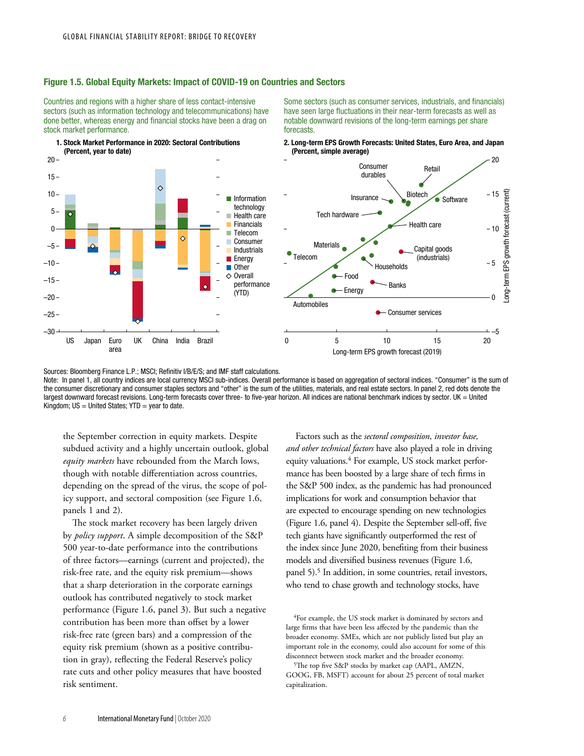### Figure 1.5. Global Equity Markets: Impact of COVID-19 on Countries and Sectors

Countries and regions with a higher share of less contact-intensive sectors (such as information technology and telecommunications) have done better, whereas energy and financial stocks have been a drag on stock market performance.



Some sectors (such as consumer services, industrials, and financials) have seen large fluctuations in their near-term forecasts as well as notable downward revisions of the long-term earnings per share forecasts.





Sources: Bloomberg Finance L.P.; MSCI; Refinitiv I/B/E/S; and IMF staff calculations.

Note: In panel 1, all country indices are local currency MSCI sub-indices. Overall performance is based on aggregation of sectoral indices. "Consumer" is the sum of the consumer discretionary and consumer staples sectors and "other" is the sum of the utilities, materials, and real estate sectors. In panel 2, red dots denote the largest downward forecast revisions. Long-term forecasts cover three- to five-year horizon. All indices are national benchmark indices by sector. UK = United Kingdom;  $US = United States$ ;  $YTD = year$  to date.

the September correction in equity markets. Despite subdued activity and a highly uncertain outlook, global *equity markets* have rebounded from the March lows, though with notable differentiation across countries, depending on the spread of the virus, the scope of policy support, and sectoral composition (see Figure 1.6, panels 1 and 2).

The stock market recovery has been largely driven by *policy support*. A simple decomposition of the S&P 500 year-to-date performance into the contributions of three factors—earnings (current and projected), the risk-free rate, and the equity risk premium—shows that a sharp deterioration in the corporate earnings outlook has contributed negatively to stock market performance (Figure 1.6, panel 3). But such a negative contribution has been more than offset by a lower risk-free rate (green bars) and a compression of the equity risk premium (shown as a positive contribution in gray), reflecting the Federal Reserve's policy rate cuts and other policy measures that have boosted risk sentiment.

Factors such as the *sectoral composition*, *investor base, and other technical factors* have also played a role in driving equity valuations.<sup>4</sup> For example, US stock market performance has been boosted by a large share of tech firms in the S&P 500 index, as the pandemic has had pronounced implications for work and consumption behavior that are expected to encourage spending on new technologies (Figure 1.6, panel 4). Despite the September sell-off, five tech giants have significantly outperformed the rest of the index since June 2020, benefiting from their business models and diversified business revenues (Figure 1.6, panel 5).<sup>5</sup> In addition, in some countries, retail investors, who tend to chase growth and technology stocks, have

<sup>4</sup>For example, the US stock market is dominated by sectors and large firms that have been less affected by the pandemic than the broader economy. SMEs, which are not publicly listed but play an important role in the economy, could also account for some of this disconnect between stock market and the broader economy.

<sup>&</sup>lt;sup>5</sup>The top five S&P stocks by market cap (AAPL, AMZN, GOOG, FB, MSFT) account for about 25 percent of total market capitalization.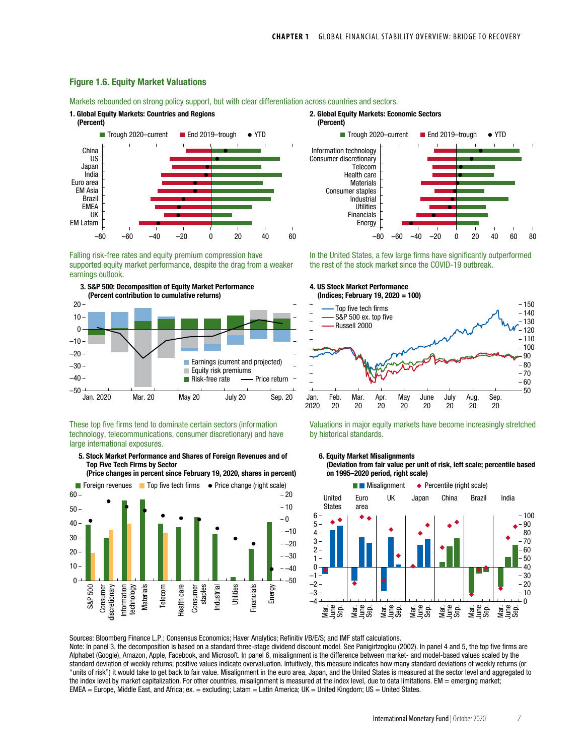### Figure 1.6. Equity Market Valuations

Markets rebounded on strong policy support, but with clear differentiation across countries and sectors.



Falling risk-free rates and equity premium compression have supported equity market performance, despite the drag from a weaker earnings outlook.



These top five firms tend to dominate certain sectors (information technology, telecommunications, consumer discretionary) and have large international exposures.

5. Stock Market Performance and Shares of Foreign Revenues and of Top Five Tech Firms by Sector

(Price changes in percent since February 19, 2020, shares in percent)





In the United States, a few large firms have significantly outperformed the rest of the stock market since the COVID-19 outbreak.



Valuations in major equity markets have become increasingly stretched by historical standards.





Sources: Bloomberg Finance L.P.; Consensus Economics; Haver Analytics; Refinitiv I/B/E/S; and IMF staff calculations. Note: In panel 3, the decomposition is based on a standard three-stage dividend discount model. See Panigirtzoglou (2002). In panel 4 and 5, the top five firms are Alphabet (Google), Amazon, Apple, Facebook, and Microsoft. In panel 6, misalignment is the difference between market- and model-based values scaled by the standard deviation of weekly returns; positive values indicate overvaluation. Intuitively, this measure indicates how many standard deviations of weekly returns (or "units of risk") it would take to get back to fair value. Misalignment in the euro area, Japan, and the United States is measured at the sector level and aggregated to the index level by market capitalization. For other countries, misalignment is measured at the index level, due to data limitations. EM = emerging market;  $EMEA = Europe$ , Middle East, and Africa; ex.  $=$  excluding; Latam  $=$  Latin America; UK  $=$  United Kingdom; US  $=$  United States.

International Monetary Fund | October 2020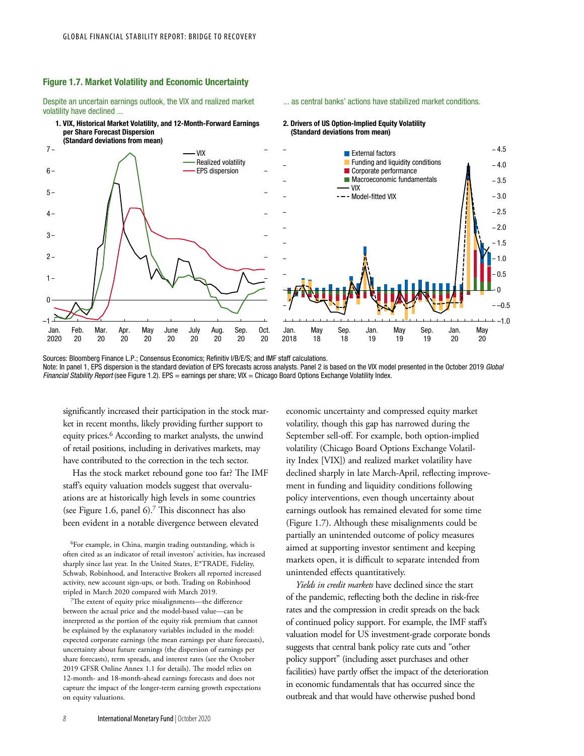### Figure 1.7. Market Volatility and Economic Uncertainty

Despite an uncertain earnings outlook, the VIX and realized market volatility have declined ...





2. Drivers of US Option-Implied Equity Volatility (Standard deviations from mean)

... as central banks' actions have stabilized market conditions.

Sources: Bloomberg Finance L.P.; Consensus Economics; Refinitiv I/B/E/S; and IMF staff calculations. Note: In panel 1, EPS dispersion is the standard deviation of EPS forecasts across analysts. Panel 2 is based on the VIX model presented in the October 2019 *Global Financial Stability Report* (see Figure 1.2). EPS = earnings per share; VIX = Chicago Board Options Exchange Volatility Index.

significantly increased their participation in the stock market in recent months, likely providing further support to equity prices.6 According to market analysts, the unwind of retail positions, including in derivatives markets, may have contributed to the correction in the tech sector.

Has the stock market rebound gone too far? The IMF staff's equity valuation models suggest that overvaluations are at historically high levels in some countries (see Figure 1.6, panel  $6$ ).<sup>7</sup> This disconnect has also been evident in a notable divergence between elevated

6For example, in China, margin trading outstanding, which is often cited as an indicator of retail investors' activities, has increased sharply since last year. In the United States, E\*TRADE, Fidelity, Schwab, Robinhood, and Interactive Brokers all reported increased activity, new account sign-ups, or both. Trading on Robinhood tripled in March 2020 compared with March 2019.

7The extent of equity price misalignments—the difference between the actual price and the model-based value—can be interpreted as the portion of the equity risk premium that cannot be explained by the explanatory variables included in the model: expected corporate earnings (the mean earnings per share forecasts), uncertainty about future earnings (the dispersion of earnings per share forecasts), term spreads, and interest rates (see the October 2019 GFSR Online Annex 1.1 for details). The model relies on 12-month- and 18-month-ahead earnings forecasts and does not capture the impact of the longer-term earning growth expectations on equity valuations.

economic uncertainty and compressed equity market volatility, though this gap has narrowed during the September sell-off. For example, both option-implied volatility (Chicago Board Options Exchange Volatility Index [VIX]) and realized market volatility have declined sharply in late March-April, reflecting improvement in funding and liquidity conditions following policy interventions, even though uncertainty about earnings outlook has remained elevated for some time (Figure 1.7). Although these misalignments could be partially an unintended outcome of policy measures aimed at supporting investor sentiment and keeping markets open, it is difficult to separate intended from unintended effects quantitatively.

*Yields in credit markets* have declined since the start of the pandemic, reflecting both the decline in risk-free rates and the compression in credit spreads on the back of continued policy support. For example, the IMF staff's valuation model for US investment-grade corporate bonds suggests that central bank policy rate cuts and "other policy support" (including asset purchases and other facilities) have partly offset the impact of the deterioration in economic fundamentals that has occurred since the outbreak and that would have otherwise pushed bond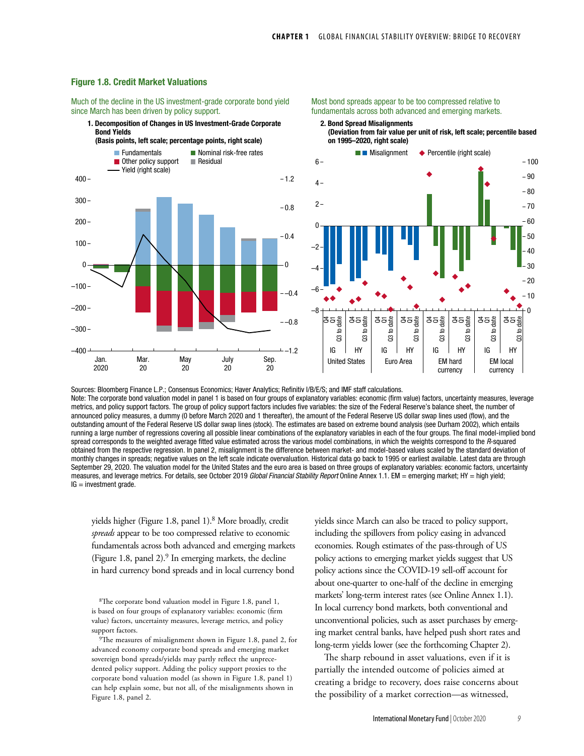### Figure 1.8. Credit Market Valuations

Much of the decline in the US investment-grade corporate bond yield since March has been driven by policy support.

#### 1. Decomposition of Changes in US Investment-Grade Corporate Bond Yields

**Residual** Nominal risk-free rates ■ Other policy support **Fundamentals** Yield (right scale) (Basis points, left scale; percentage points, right scale)  $-400 \cdot$  $-300 -200 -100 \theta$  $200 300 100 -$ 400 –1.2  $- -0.8$ –0.4 0 0.4  $-0.8$  $-1.2$ Jan. 2020 Mar. 20 May 20 July 20 Sep. 20

Most bond spreads appear to be too compressed relative to fundamentals across both advanced and emerging markets.

2. Bond Spread Misalignments (Deviation from fair value per unit of risk, left scale; percentile based on 1995–2020, right scale)



Sources: Bloomberg Finance L.P.; Consensus Economics; Haver Analytics; Refinitiv I/B/E/S; and IMF staff calculations. Note: The corporate bond valuation model in panel 1 is based on four groups of explanatory variables: economic (firm value) factors, uncertainty measures, leverage metrics, and policy support factors. The group of policy support factors includes five variables: the size of the Federal Reserve's balance sheet, the number of announced policy measures, a dummy (0 before March 2020 and 1 thereafter), the amount of the Federal Reserve US dollar swap lines used (flow), and the outstanding amount of the Federal Reserve US dollar swap lines (stock). The estimates are based on extreme bound analysis (see Durham 2002), which entails running a large number of regressions covering all possible linear combinations of the explanatory variables in each of the four groups. The final model-implied bond spread corresponds to the weighted average fitted value estimated across the various model combinations, in which the weights correspond to the *R*-squared obtained from the respective regression. In panel 2, misalignment is the difference between market- and model-based values scaled by the standard deviation of monthly changes in spreads; negative values on the left scale indicate overvaluation. Historical data go back to 1995 or earliest available. Latest data are through September 29, 2020. The valuation model for the United States and the euro area is based on three groups of explanatory variables: economic factors, uncertainty measures, and leverage metrics. For details, see October 2019 *Global Financial Stability Report* Online Annex 1.1. EM = emerging market; HY = high yield;

yields higher (Figure 1.8, panel 1).8 More broadly, credit *spreads* appear to be too compressed relative to economic fundamentals across both advanced and emerging markets (Figure 1.8, panel  $2$ ).<sup>9</sup> In emerging markets, the decline in hard currency bond spreads and in local currency bond

 $IG =$  investment grade.

8The corporate bond valuation model in Figure 1.8, panel 1, is based on four groups of explanatory variables: economic (firm value) factors, uncertainty measures, leverage metrics, and policy support factors.

<sup>9</sup>The measures of misalignment shown in Figure 1.8, panel 2, for advanced economy corporate bond spreads and emerging market sovereign bond spreads/yields may partly reflect the unprecedented policy support. Adding the policy support proxies to the corporate bond valuation model (as shown in Figure 1.8, panel 1) can help explain some, but not all, of the misalignments shown in Figure 1.8, panel 2.

yields since March can also be traced to policy support, including the spillovers from policy easing in advanced economies. Rough estimates of the pass-through of US policy actions to emerging market yields suggest that US policy actions since the COVID-19 sell-off account for about one-quarter to one-half of the decline in emerging markets' long-term interest rates (see Online Annex 1.1). In local currency bond markets, both conventional and unconventional policies, such as asset purchases by emerging market central banks, have helped push short rates and long-term yields lower (see the forthcoming Chapter 2).

The sharp rebound in asset valuations, even if it is partially the intended outcome of policies aimed at creating a bridge to recovery, does raise concerns about the possibility of a market correction—as witnessed,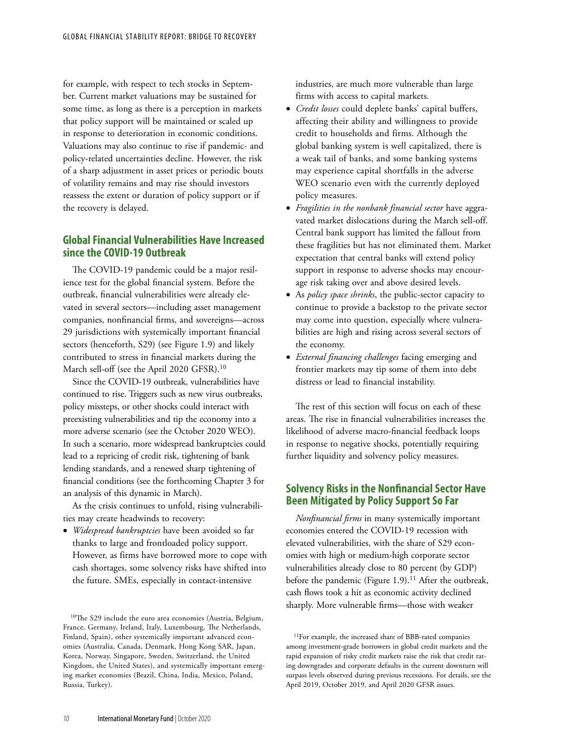for example, with respect to tech stocks in September. Current market valuations may be sustained for some time, as long as there is a perception in markets that policy support will be maintained or scaled up in response to deterioration in economic conditions. Valuations may also continue to rise if pandemic- and policy-related uncertainties decline. However, the risk of a sharp adjustment in asset prices or periodic bouts of volatility remains and may rise should investors reassess the extent or duration of policy support or if the recovery is delayed.

# **Global Financial Vulnerabilities Have Increased since the COVID-19 Outbreak**

The COVID-19 pandemic could be a major resilience test for the global financial system. Before the outbreak, financial vulnerabilities were already elevated in several sectors—including asset management companies, nonfinancial firms, and sovereigns—across 29 jurisdictions with systemically important financial sectors (henceforth, S29) (see Figure 1.9) and likely contributed to stress in financial markets during the March sell-off (see the April 2020 GFSR).10

Since the COVID-19 outbreak, vulnerabilities have continued to rise. Triggers such as new virus outbreaks, policy missteps, or other shocks could interact with preexisting vulnerabilities and tip the economy into a more adverse scenario (see the October 2020 WEO). In such a scenario, more widespread bankruptcies could lead to a repricing of credit risk, tightening of bank lending standards, and a renewed sharp tightening of financial conditions (see the forthcoming Chapter 3 for an analysis of this dynamic in March).

As the crisis continues to unfold, rising vulnerabilities may create headwinds to recovery:

• *Widespread bankruptcies* have been avoided so far thanks to large and frontloaded policy support. However, as firms have borrowed more to cope with cash shortages, some solvency risks have shifted into the future. SMEs, especially in contact-intensive

10The S29 include the euro area economies (Austria, Belgium, France, Germany, Ireland, Italy, Luxembourg, The Netherlands, Finland, Spain), other systemically important advanced economies (Australia, Canada, Denmark, Hong Kong SAR, Japan, Korea, Norway, Singapore, Sweden, Switzerland, the United Kingdom, the United States), and systemically important emerging market economies (Brazil, China, India, Mexico, Poland, Russia, Turkey).

industries, are much more vulnerable than large firms with access to capital markets.

- *Credit losses* could deplete banks' capital buffers, affecting their ability and willingness to provide credit to households and firms. Although the global banking system is well capitalized, there is a weak tail of banks, and some banking systems may experience capital shortfalls in the adverse WEO scenario even with the currently deployed policy measures.
- *Fragilities in the nonbank financial sector* have aggravated market dislocations during the March sell-off. Central bank support has limited the fallout from these fragilities but has not eliminated them. Market expectation that central banks will extend policy support in response to adverse shocks may encourage risk taking over and above desired levels.
- As *policy space shrinks*, the public-sector capacity to continue to provide a backstop to the private sector may come into question, especially where vulnerabilities are high and rising across several sectors of the economy.
- *External financing challenges* facing emerging and frontier markets may tip some of them into debt distress or lead to financial instability.

The rest of this section will focus on each of these areas. The rise in financial vulnerabilities increases the likelihood of adverse macro-financial feedback loops in response to negative shocks, potentially requiring further liquidity and solvency policy measures.

# **Solvency Risks in the Nonfinancial Sector Have Been Mitigated by Policy Support So Far**

*Nonfinancial firms* in many systemically important economies entered the COVID-19 recession with elevated vulnerabilities, with the share of S29 economies with high or medium-high corporate sector vulnerabilities already close to 80 percent (by GDP) before the pandemic (Figure 1.9).<sup>11</sup> After the outbreak, cash flows took a hit as economic activity declined sharply. More vulnerable firms—those with weaker

<sup>11</sup>For example, the increased share of BBB-rated companies among investment-grade borrowers in global credit markets and the rapid expansion of risky credit markets raise the risk that credit rating downgrades and corporate defaults in the current downturn will surpass levels observed during previous recessions. For details, see the April 2019, October 2019, and April 2020 GFSR issues.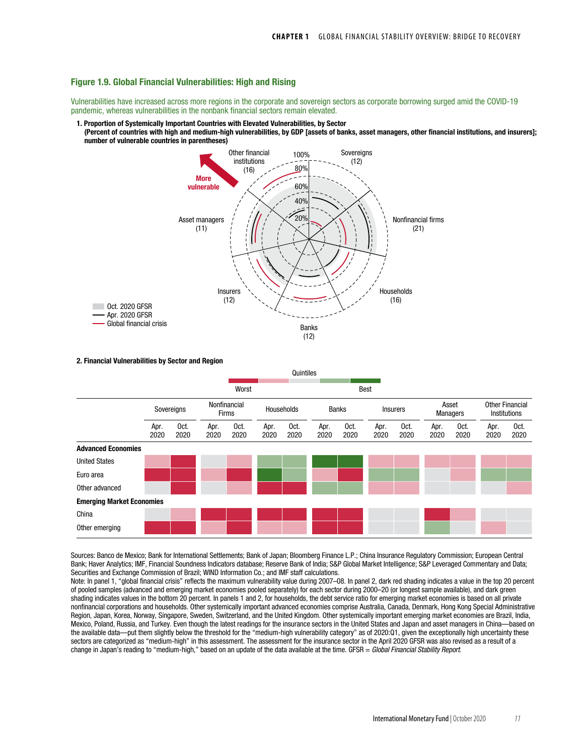### Figure 1.9. Global Financial Vulnerabilities: High and Rising

Vulnerabilities have increased across more regions in the corporate and sovereign sectors as corporate borrowing surged amid the COVID-19 pandemic, whereas vulnerabilities in the nonbank financial sectors remain elevated.

- 1. Proportion of Systemically Important Countries with Elevated Vulnerabilities, by Sector
- (Percent of countries with high and medium-high vulnerabilities, by GDP [assets of banks, asset managers, other financial institutions, and insurers]; number of vulnerable countries in parentheses)



2. Financial Vulnerabilities by Sector and Region

|                                  | Quintiles    |              |                              |              |              |              |              |              |                 |              |                          |              |                                        |              |
|----------------------------------|--------------|--------------|------------------------------|--------------|--------------|--------------|--------------|--------------|-----------------|--------------|--------------------------|--------------|----------------------------------------|--------------|
|                                  |              |              |                              | Worst        |              |              |              |              | Best            |              |                          |              |                                        |              |
|                                  | Sovereigns   |              | Nonfinancial<br><b>Firms</b> |              | Households   |              | Banks        |              | <b>Insurers</b> |              | Asset<br><b>Managers</b> |              | <b>Other Financial</b><br>Institutions |              |
|                                  | Apr.<br>2020 | Oct.<br>2020 | Apr.<br>2020                 | Oct.<br>2020 | Apr.<br>2020 | Oct.<br>2020 | Apr.<br>2020 | Oct.<br>2020 | Apr.<br>2020    | Oct.<br>2020 | Apr.<br>2020             | Oct.<br>2020 | Apr.<br>2020                           | Oct.<br>2020 |
| <b>Advanced Economies</b>        |              |              |                              |              |              |              |              |              |                 |              |                          |              |                                        |              |
| <b>United States</b>             |              |              |                              |              |              |              |              |              |                 |              |                          |              |                                        |              |
| Euro area                        |              |              |                              |              |              |              |              |              |                 |              |                          |              |                                        |              |
| Other advanced                   |              |              |                              |              |              |              |              |              |                 |              |                          |              |                                        |              |
| <b>Emerging Market Economies</b> |              |              |                              |              |              |              |              |              |                 |              |                          |              |                                        |              |
| China                            |              |              |                              |              |              |              |              |              |                 |              |                          |              |                                        |              |
| Other emerging                   |              |              |                              |              |              |              |              |              |                 |              |                          |              |                                        |              |

Sources: Banco de Mexico; Bank for International Settlements; Bank of Japan; Bloomberg Finance L.P.; China Insurance Regulatory Commission; European Central Bank; Haver Analytics; IMF, Financial Soundness Indicators database; Reserve Bank of India; S&P Global Market Intelligence; S&P Leveraged Commentary and Data; Securities and Exchange Commission of Brazil; WIND Information Co.; and IMF staff calculations.

Note: In panel 1, "global financial crisis" reflects the maximum vulnerability value during 2007–08. In panel 2, dark red shading indicates a value in the top 20 percent of pooled samples (advanced and emerging market economies pooled separately) for each sector during 2000–20 (or longest sample available), and dark green shading indicates values in the bottom 20 percent. In panels 1 and 2, for households, the debt service ratio for emerging market economies is based on all private nonfinancial corporations and households. Other systemically important advanced economies comprise Australia, Canada, Denmark, Hong Kong Special Administrative Region, Japan, Korea, Norway, Singapore, Sweden, Switzerland, and the United Kingdom. Other systemically important emerging market economies are Brazil, India, Mexico, Poland, Russia, and Turkey. Even though the latest readings for the insurance sectors in the United States and Japan and asset managers in China—based on the available data—put them slightly below the threshold for the "medium-high vulnerability category" as of 2020:Q1, given the exceptionally high uncertainty these sectors are categorized as "medium-high" in this assessment. The assessment for the insurance sector in the April 2020 GFSR was also revised as a result of a change in Japan's reading to "medium-high," based on an update of the data available at the time. GFSR = *Global Financial Stability Report*.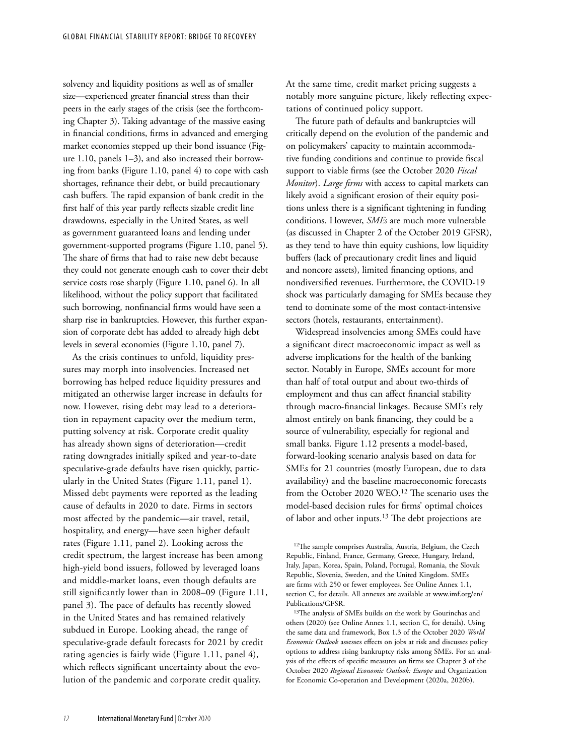solvency and liquidity positions as well as of smaller size—experienced greater financial stress than their peers in the early stages of the crisis (see the forthcoming Chapter 3). Taking advantage of the massive easing in financial conditions, firms in advanced and emerging market economies stepped up their bond issuance (Figure 1.10, panels 1–3), and also increased their borrowing from banks (Figure 1.10, panel 4) to cope with cash shortages, refinance their debt, or build precautionary cash buffers. The rapid expansion of bank credit in the first half of this year partly reflects sizable credit line drawdowns, especially in the United States, as well as government guaranteed loans and lending under government-supported programs (Figure 1.10, panel 5). The share of firms that had to raise new debt because they could not generate enough cash to cover their debt service costs rose sharply (Figure 1.10, panel 6). In all likelihood, without the policy support that facilitated such borrowing, nonfinancial firms would have seen a sharp rise in bankruptcies. However, this further expansion of corporate debt has added to already high debt levels in several economies (Figure 1.10, panel 7).

As the crisis continues to unfold, liquidity pressures may morph into insolvencies. Increased net borrowing has helped reduce liquidity pressures and mitigated an otherwise larger increase in defaults for now. However, rising debt may lead to a deterioration in repayment capacity over the medium term, putting solvency at risk. Corporate credit quality has already shown signs of deterioration—credit rating downgrades initially spiked and year-to-date speculative-grade defaults have risen quickly, particularly in the United States (Figure 1.11, panel 1). Missed debt payments were reported as the leading cause of defaults in 2020 to date. Firms in sectors most affected by the pandemic—air travel, retail, hospitality, and energy—have seen higher default rates (Figure 1.11, panel 2). Looking across the credit spectrum, the largest increase has been among high-yield bond issuers, followed by leveraged loans and middle-market loans, even though defaults are still significantly lower than in 2008–09 (Figure 1.11, panel 3). The pace of defaults has recently slowed in the United States and has remained relatively subdued in Europe. Looking ahead, the range of speculative-grade default forecasts for 2021 by credit rating agencies is fairly wide (Figure 1.11, panel 4), which reflects significant uncertainty about the evolution of the pandemic and corporate credit quality.

At the same time, credit market pricing suggests a notably more sanguine picture, likely reflecting expectations of continued policy support.

The future path of defaults and bankruptcies will critically depend on the evolution of the pandemic and on policymakers' capacity to maintain accommodative funding conditions and continue to provide fiscal support to viable firms (see the October 2020 *Fiscal Monitor*). *Large firms* with access to capital markets can likely avoid a significant erosion of their equity positions unless there is a significant tightening in funding conditions. However, *SMEs* are much more vulnerable (as discussed in Chapter 2 of the October 2019 GFSR), as they tend to have thin equity cushions, low liquidity buffers (lack of precautionary credit lines and liquid and noncore assets), limited financing options, and nondiversified revenues. Furthermore, the COVID-19 shock was particularly damaging for SMEs because they tend to dominate some of the most contact-intensive sectors (hotels, restaurants, entertainment).

Widespread insolvencies among SMEs could have a significant direct macroeconomic impact as well as adverse implications for the health of the banking sector. Notably in Europe, SMEs account for more than half of total output and about two-thirds of employment and thus can affect financial stability through macro-financial linkages. Because SMEs rely almost entirely on bank financing, they could be a source of vulnerability, especially for regional and small banks. Figure 1.12 presents a model-based, forward-looking scenario analysis based on data for SMEs for 21 countries (mostly European, due to data availability) and the baseline macroeconomic forecasts from the October 2020 WEO.<sup>12</sup> The scenario uses the model-based decision rules for firms' optimal choices of labor and other inputs.<sup>13</sup> The debt projections are

<sup>&</sup>lt;sup>12</sup>The sample comprises Australia, Austria, Belgium, the Czech Republic, Finland, France, Germany, Greece, Hungary, Ireland, Italy, Japan, Korea, Spain, Poland, Portugal, Romania, the Slovak Republic, Slovenia, Sweden, and the United Kingdom. SMEs are firms with 250 or fewer employees. See Online Annex 1.1, section C, for details. All annexes are available at www.imf.org/en/ Publications/GFSR.

<sup>13</sup>The analysis of SMEs builds on the work by Gourinchas and others (2020) (see Online Annex 1.1, section C, for details). Using the same data and framework, Box 1.3 of the October 2020 *World Economic Outlook* assesses effects on jobs at risk and discusses policy options to address rising bankruptcy risks among SMEs. For an analysis of the effects of specific measures on firms see Chapter 3 of the October 2020 *Regional Economic Outlook: Europe* and Organization for Economic Co-operation and Development (2020a, 2020b).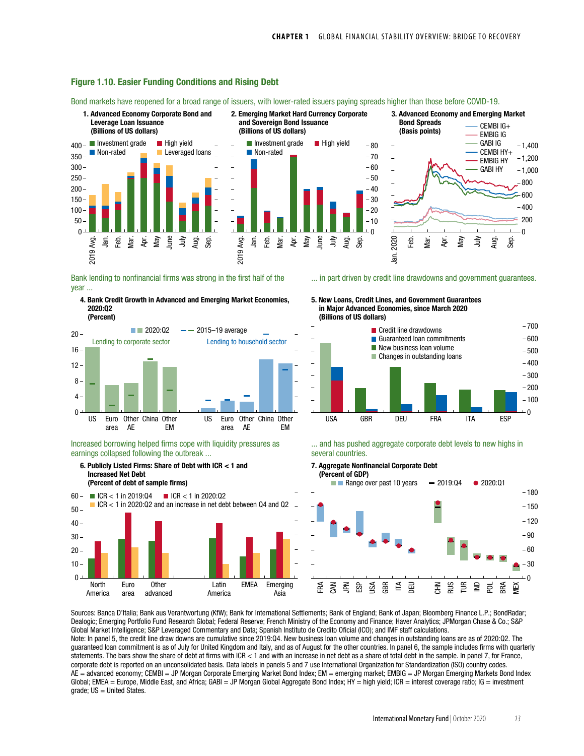

### Figure 1.10. Easier Funding Conditions and Rising Debt

Bond markets have reopened for a broad range of issuers, with lower-rated issuers paying spreads higher than those before COVID-19.

Bank lending to nonfinancial firms was strong in the first half of the year ...





Increased borrowing helped firms cope with liquidity pressures as earnings collapsed following the outbreak ...



... in part driven by credit line drawdowns and government guarantees.

5. New Loans, Credit Lines, and Government Guarantees in Major Advanced Economies, since March 2020 (Billions of US dollars)



... and has pushed aggregate corporate debt levels to new highs in several countries.

7. Aggregate Nonfinancial Corporate Debt



Sources: Banca D'Italia; Bank aus Verantwortung (KfW); Bank for International Settlements; Bank of England; Bank of Japan; Bloomberg Finance L.P.; BondRadar; Dealogic; Emerging Portfolio Fund Research Global; Federal Reserve; French Ministry of the Economy and Finance; Haver Analytics; JPMorgan Chase & Co.; S&P Global Market Intelligence; S&P Leveraged Commentary and Data; Spanish Instituto de Credito Oficial (ICO); and IMF staff calculations.

Note: In panel 5, the credit line draw downs are cumulative since 2019:Q4. New business loan volume and changes in outstanding loans are as of 2020:Q2. The guaranteed loan commitment is as of July for United Kingdom and Italy, and as of August for the other countries. In panel 6, the sample includes firms with quarterly statements. The bars show the share of debt at firms with ICR < 1 and with an increase in net debt as a share of total debt in the sample. In panel 7, for France, corporate debt is reported on an unconsolidated basis. Data labels in panels 5 and 7 use International Organization for Standardization (ISO) country codes. AE = advanced economy; CEMBI = JP Morgan Corporate Emerging Market Bond Index; EM = emerging market; EMBIG = JP Morgan Emerging Markets Bond Index Global; EMEA = Europe, Middle East, and Africa; GABI = JP Morgan Global Aggregate Bond Index; HY = high yield; ICR = interest coverage ratio; IG = investment  $grade$ ;  $US = United States$ .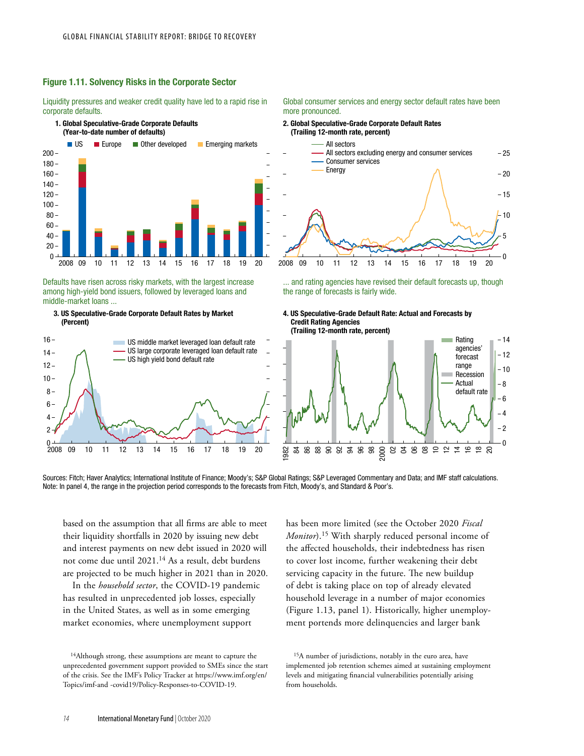

# Figure 1.11. Solvency Risks in the Corporate Sector

Liquidity pressures and weaker credit quality have led to a rapid rise in corporate defaults.

# 1. Global Speculative-Grade Corporate Defaults

Defaults have risen across risky markets, with the largest increase among high-yield bond issuers, followed by leveraged loans and middle-market loans ...

### 3. US Speculative-Grade Corporate Default Rates by Market (Percent)



#### Global consumer services and energy sector default rates have been more pronounced.

#### 2. Global Speculative-Grade Corporate Default Rates (Trailing 12-month rate, percent)



... and rating agencies have revised their default forecasts up, though the range of forecasts is fairly wide.





Sources: Fitch; Haver Analytics; International Institute of Finance; Moody's; S&P Global Ratings; S&P Leveraged Commentary and Data; and IMF staff calculations. Note: In panel 4, the range in the projection period corresponds to the forecasts from Fitch, Moody's, and Standard & Poor's.

based on the assumption that all firms are able to meet their liquidity shortfalls in 2020 by issuing new debt and interest payments on new debt issued in 2020 will not come due until 2021.14 As a result, debt burdens are projected to be much higher in 2021 than in 2020.

In the *household sector*, the COVID-19 pandemic has resulted in unprecedented job losses, especially in the United States, as well as in some emerging market economies, where unemployment support

has been more limited (see the October 2020 *Fiscal Monitor*).15 With sharply reduced personal income of the affected households, their indebtedness has risen to cover lost income, further weakening their debt servicing capacity in the future. The new buildup of debt is taking place on top of already elevated household leverage in a number of major economies (Figure 1.13, panel 1). Historically, higher unemployment portends more delinquencies and larger bank

15A number of jurisdictions, notably in the euro area, have implemented job retention schemes aimed at sustaining employment levels and mitigating financial vulnerabilities potentially arising from households.

<sup>14</sup>Although strong, these assumptions are meant to capture the unprecedented government support provided to SMEs since the start of the crisis. See the IMF's Policy Tracker at https://www.imf.org/en/ Topics/imf-and -covid19/Policy-Responses-to-COVID-19.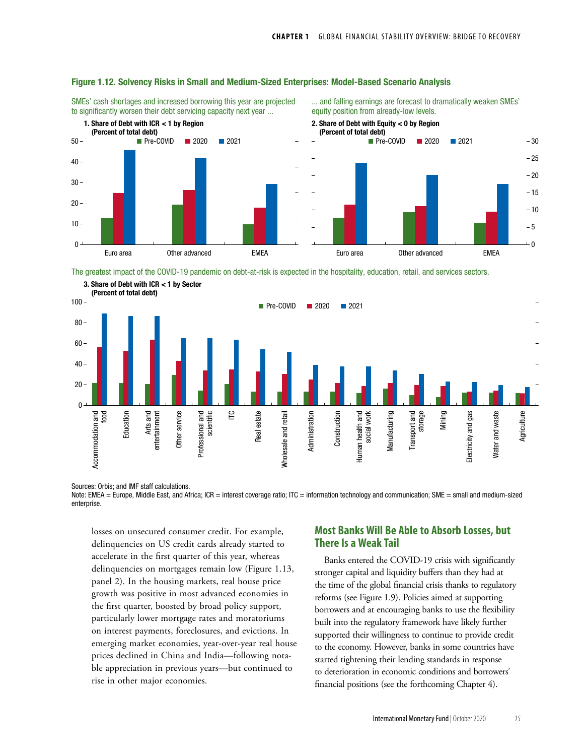

### Figure 1.12. Solvency Risks in Small and Medium-Sized Enterprises: Model-Based Scenario Analysis

SMEs' cash shortages and increased borrowing this year are projected to significantly worsen their debt servicing capacity next year ...

... and falling earnings are forecast to dramatically weaken SMEs' equity position from already-low levels.

The greatest impact of the COVID-19 pandemic on debt-at-risk is expected in the hospitality, education, retail, and services sectors.



Sources: Orbis; and IMF staff calculations.

Note: EMEA = Europe, Middle East, and Africa; ICR = interest coverage ratio; ITC = information technology and communication; SME = small and medium-sized enterprise.

losses on unsecured consumer credit. For example, delinquencies on US credit cards already started to accelerate in the first quarter of this year, whereas delinquencies on mortgages remain low (Figure 1.13, panel 2). In the housing markets, real house price growth was positive in most advanced economies in the first quarter, boosted by broad policy support, particularly lower mortgage rates and moratoriums on interest payments, foreclosures, and evictions. In emerging market economies, year-over-year real house prices declined in China and India—following notable appreciation in previous years—but continued to rise in other major economies.

# **Most Banks Will Be Able to Absorb Losses, but There Is a Weak Tail**

Banks entered the COVID-19 crisis with significantly stronger capital and liquidity buffers than they had at the time of the global financial crisis thanks to regulatory reforms (see Figure 1.9). Policies aimed at supporting borrowers and at encouraging banks to use the flexibility built into the regulatory framework have likely further supported their willingness to continue to provide credit to the economy. However, banks in some countries have started tightening their lending standards in response to deterioration in economic conditions and borrowers' financial positions (see the forthcoming Chapter 4).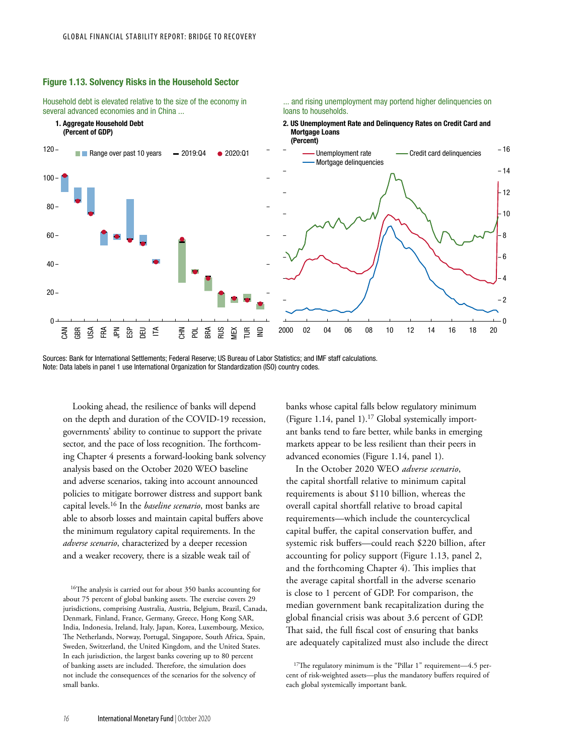

#### Figure 1.13. Solvency Risks in the Household Sector

Household debt is elevated relative to the size of the economy in several advanced economies and in China ...

... and rising unemployment may portend higher delinquencies on loans to households.

Sources: Bank for International Settlements; Federal Reserve; US Bureau of Labor Statistics; and IMF staff calculations. Note: Data labels in panel 1 use International Organization for Standardization (ISO) country codes.

Looking ahead, the resilience of banks will depend on the depth and duration of the COVID-19 recession, governments' ability to continue to support the private sector, and the pace of loss recognition. The forthcoming Chapter 4 presents a forward-looking bank solvency analysis based on the October 2020 WEO baseline and adverse scenarios, taking into account announced policies to mitigate borrower distress and support bank capital levels.16 In the *baseline scenario*, most banks are able to absorb losses and maintain capital buffers above the minimum regulatory capital requirements. In the *adverse scenario*, characterized by a deeper recession and a weaker recovery, there is a sizable weak tail of

16The analysis is carried out for about 350 banks accounting for about 75 percent of global banking assets. The exercise covers 29 jurisdictions, comprising Australia, Austria, Belgium, Brazil, Canada, Denmark, Finland, France, Germany, Greece, Hong Kong SAR, India, Indonesia, Ireland, Italy, Japan, Korea, Luxembourg, Mexico, The Netherlands, Norway, Portugal, Singapore, South Africa, Spain, Sweden, Switzerland, the United Kingdom, and the United States. In each jurisdiction, the largest banks covering up to 80 percent of banking assets are included. Therefore, the simulation does not include the consequences of the scenarios for the solvency of small banks.

banks whose capital falls below regulatory minimum (Figure 1.14, panel 1).<sup>17</sup> Global systemically important banks tend to fare better, while banks in emerging markets appear to be less resilient than their peers in advanced economies (Figure 1.14, panel 1).

In the October 2020 WEO *adverse scenario*, the capital shortfall relative to minimum capital requirements is about \$110 billion, whereas the overall capital shortfall relative to broad capital requirements—which include the countercyclical capital buffer, the capital conservation buffer, and systemic risk buffers—could reach \$220 billion, after accounting for policy support (Figure 1.13, panel 2, and the forthcoming Chapter 4). This implies that the average capital shortfall in the adverse scenario is close to 1 percent of GDP. For comparison, the median government bank recapitalization during the global financial crisis was about 3.6 percent of GDP. That said, the full fiscal cost of ensuring that banks are adequately capitalized must also include the direct

<sup>&</sup>lt;sup>17</sup>The regulatory minimum is the "Pillar 1" requirement—4.5 percent of risk-weighted assets—plus the mandatory buffers required of each global systemically important bank.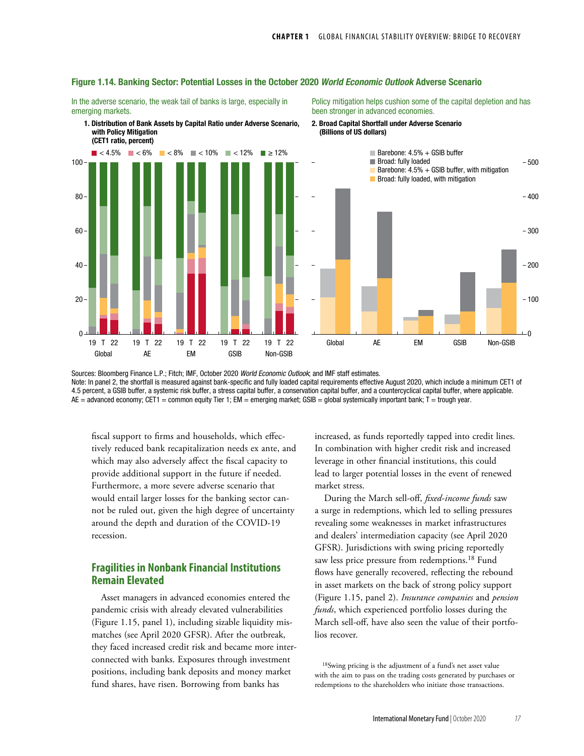

#### Figure 1.14. Banking Sector: Potential Losses in the October 2020 *World Economic Outlook* Adverse Scenario

In the adverse scenario, the weak tail of banks is large, especially in emerging markets.

1. Distribution of Bank Assets by Capital Ratio under Adverse Scenario,

Policy mitigation helps cushion some of the capital depletion and has been stronger in advanced economies.



Sources: Bloomberg Finance L.P.; Fitch; IMF, October 2020 *World Economic Outlook*; and IMF staff estimates. Note: In panel 2, the shortfall is measured against bank-specific and fully loaded capital requirements effective August 2020, which include a minimum CET1 of 4.5 percent, a GSIB buffer, a systemic risk buffer, a stress capital buffer, a conservation capital buffer, and a countercyclical capital buffer, where applicable. AE = advanced economy; CET1 = common equity Tier 1; EM = emerging market; GSIB = global systemically important bank; T = trough year.

fiscal support to firms and households, which effectively reduced bank recapitalization needs ex ante, and which may also adversely affect the fiscal capacity to provide additional support in the future if needed. Furthermore, a more severe adverse scenario that would entail larger losses for the banking sector cannot be ruled out, given the high degree of uncertainty around the depth and duration of the COVID-19 recession.

# **Fragilities in Nonbank Financial Institutions Remain Elevated**

Asset managers in advanced economies entered the pandemic crisis with already elevated vulnerabilities (Figure 1.15, panel 1), including sizable liquidity mismatches (see April 2020 GFSR). After the outbreak, they faced increased credit risk and became more interconnected with banks. Exposures through investment positions, including bank deposits and money market fund shares, have risen. Borrowing from banks has

increased, as funds reportedly tapped into credit lines. In combination with higher credit risk and increased leverage in other financial institutions, this could lead to larger potential losses in the event of renewed market stress.

During the March sell-off, *fixed-income funds* saw a surge in redemptions, which led to selling pressures revealing some weaknesses in market infrastructures and dealers' intermediation capacity (see April 2020 GFSR). Jurisdictions with swing pricing reportedly saw less price pressure from redemptions.<sup>18</sup> Fund flows have generally recovered, reflecting the rebound in asset markets on the back of strong policy support (Figure 1.15, panel 2). *Insurance companies* and *pension funds*, which experienced portfolio losses during the March sell-off, have also seen the value of their portfolios recover.

18Swing pricing is the adjustment of a fund's net asset value with the aim to pass on the trading costs generated by purchases or redemptions to the shareholders who initiate those transactions.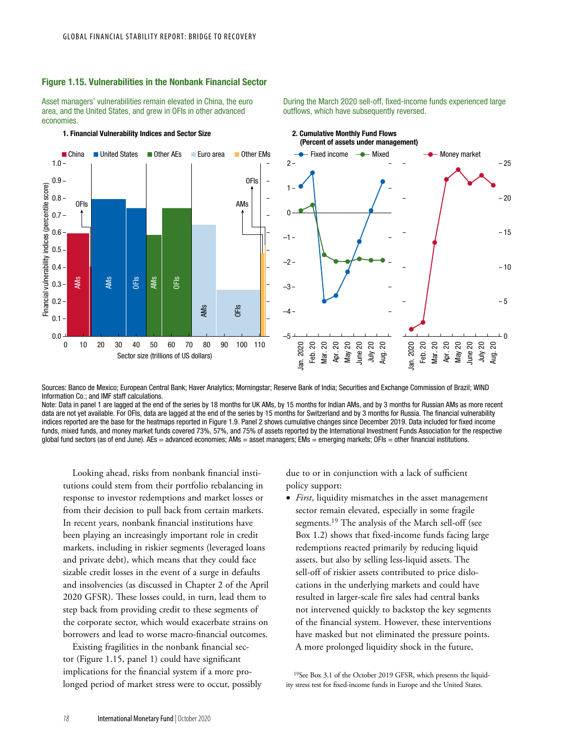### Figure 1.15. Vulnerabilities in the Nonbank Financial Sector

Asset managers' vulnerabilities remain elevated in China, the euro area, and the United States, and grew in OFIs in other advanced economies.

#### 1. Financial Vulnerability Indices and Sector Size 2. Cumulative Monthly Fund Flows



During the March 2020 sell-off, fixed-income funds experienced large outflows, which have subsequently reversed.



Sources: Banco de Mexico; European Central Bank; Haver Analytics; Morningstar; Reserve Bank of India; Securities and Exchange Commission of Brazil; WIND Information Co.; and IMF staff calculations.

Note: Data in panel 1 are lagged at the end of the series by 18 months for UK AMs, by 15 months for Indian AMs, and by 3 months for Russian AMs as more recent data are not yet available. For OFIs, data are lagged at the end of the series by 15 months for Switzerland and by 3 months for Russia. The financial vulnerability indices reported are the base for the heatmaps reported in Figure 1.9. Panel 2 shows cumulative changes since December 2019. Data included for fixed income funds, mixed funds, and money market funds covered 73%, 57%, and 75% of assets reported by the International Investment Funds Association for the respective global fund sectors (as of end June). AEs = advanced economies; AMs = asset managers; EMs = emerging markets; OFIs = other financial institutions.

Looking ahead, risks from nonbank financial institutions could stem from their portfolio rebalancing in response to investor redemptions and market losses or from their decision to pull back from certain markets. In recent years, nonbank financial institutions have been playing an increasingly important role in credit markets, including in riskier segments (leveraged loans and private debt), which means that they could face sizable credit losses in the event of a surge in defaults and insolvencies (as discussed in Chapter 2 of the April 2020 GFSR). These losses could, in turn, lead them to step back from providing credit to these segments of the corporate sector, which would exacerbate strains on borrowers and lead to worse macro-financial outcomes.

Existing fragilities in the nonbank financial sector (Figure 1.15, panel 1) could have significant implications for the financial system if a more prolonged period of market stress were to occur, possibly due to or in conjunction with a lack of sufficient policy support:

• *First*, liquidity mismatches in the asset management sector remain elevated, especially in some fragile segments.19 The analysis of the March sell-off (see Box 1.2) shows that fixed-income funds facing large redemptions reacted primarily by reducing liquid assets, but also by selling less-liquid assets. The sell-off of riskier assets contributed to price dislocations in the underlying markets and could have resulted in larger-scale fire sales had central banks not intervened quickly to backstop the key segments of the financial system. However, these interventions have masked but not eliminated the pressure points. A more prolonged liquidity shock in the future,

19See Box 3.1 of the October 2019 GFSR, which presents the liquidity stress test for fixed-income funds in Europe and the United States.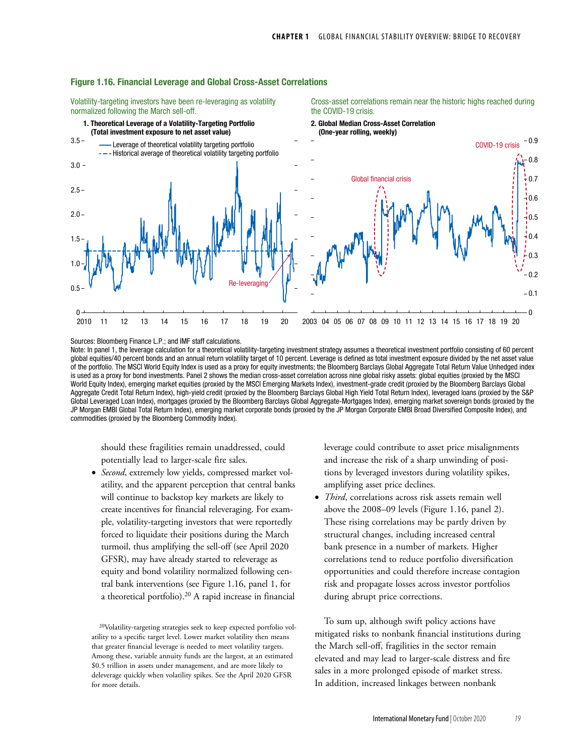

#### Figure 1.16. Financial Leverage and Global Cross-Asset Correlations

Volatility-targeting investors have been re-leveraging as volatility normalized following the March sell-off.

Cross-asset correlations remain near the historic highs reached during the COVID-19 crisis.

Sources: Bloomberg Finance L.P.; and IMF staff calculations.

Note: In panel 1, the leverage calculation for a theoretical volatility-targeting investment strategy assumes a theoretical investment portfolio consisting of 60 percent global equities/40 percent bonds and an annual return volatility target of 10 percent. Leverage is defined as total investment exposure divided by the net asset value of the portfolio. The MSCI World Equity Index is used as a proxy for equity investments; the Bloomberg Barclays Global Aggregate Total Return Value Unhedged index is used as a proxy for bond investments. Panel 2 shows the median cross-asset correlation across nine global risky assets: global equities (proxied by the MSCI World Equity Index), emerging market equities (proxied by the MSCI Emerging Markets Index), investment-grade credit (proxied by the Bloomberg Barclays Global Aggregate Credit Total Return Index), high-yield credit (proxied by the Bloomberg Barclays Global High Yield Total Return Index), leveraged loans (proxied by the S&P Global Leveraged Loan Index), mortgages (proxied by the Bloomberg Barclays Global Aggregate-Mortgages Index), emerging market sovereign bonds (proxied by the JP Morgan EMBI Global Total Return Index), emerging market corporate bonds (proxied by the JP Morgan Corporate EMBI Broad Diversified Composite Index), and commodities (proxied by the Bloomberg Commodity Index).

should these fragilities remain unaddressed, could potentially lead to larger-scale fire sales.

Second, extremely low yields, compressed market volatility, and the apparent perception that central banks will continue to backstop key markets are likely to create incentives for financial releveraging. For example, volatility-targeting investors that were reportedly forced to liquidate their positions during the March turmoil, thus amplifying the sell-off (see April 2020 GFSR), may have already started to releverage as equity and bond volatility normalized following central bank interventions (see Figure 1.16, panel 1, for a theoretical portfolio).20 A rapid increase in financial leverage could contribute to asset price misalignments and increase the risk of a sharp unwinding of positions by leveraged investors during volatility spikes, amplifying asset price declines.

• *Third*, correlations across risk assets remain well above the 2008–09 levels (Figure 1.16, panel 2). These rising correlations may be partly driven by structural changes, including increased central bank presence in a number of markets. Higher correlations tend to reduce portfolio diversification opportunities and could therefore increase contagion risk and propagate losses across investor portfolios during abrupt price corrections.

To sum up, although swift policy actions have mitigated risks to nonbank financial institutions during the March sell-off, fragilities in the sector remain elevated and may lead to larger-scale distress and fire sales in a more prolonged episode of market stress. In addition, increased linkages between nonbank

<sup>20</sup>Volatility-targeting strategies seek to keep expected portfolio volatility to a specific target level. Lower market volatility then means that greater financial leverage is needed to meet volatility targets. Among these, variable annuity funds are the largest, at an estimated \$0.5 trillion in assets under management, and are more likely to deleverage quickly when volatility spikes. See the April 2020 GFSR for more details.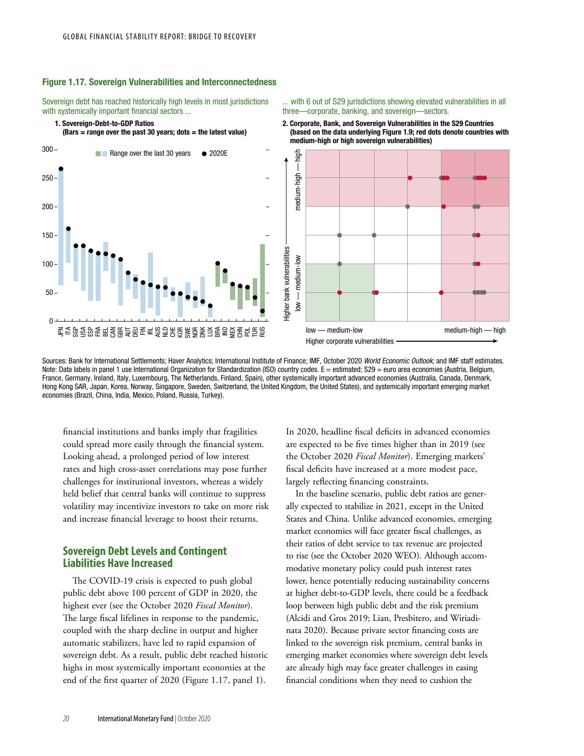### Figure 1.17. Sovereign Vulnerabilities and Interconnectedness

Sovereign debt has reached historically high levels in most jurisdictions with systemically important financial sectors ...

1. Sovereign-Debt-to-GDP Ratios

 $(Bars = range over the past 30 years; dots = the latest value)$ 



... with 6 out of S29 jurisdictions showing elevated vulnerabilities in all three—corporate, banking, and sovereign—sectors.

2. Corporate, Bank, and Sovereign Vulnerabilities in the S29 Countries (based on the data underlying Figure 1.9; red dots denote countries with medium-high or high sovereign vulnerabilities)



Sources: Bank for International Settlements; Haver Analytics; International Institute of Finance; IMF, October 2020 *World Economic Outlook*; and IMF staff estimates. Note: Data labels in panel 1 use International Organization for Standardization (ISO) country codes. E = estimated; S29 = euro area economies (Austria, Belgium, France, Germany, Ireland, Italy, Luxembourg, The Netherlands, Finland, Spain), other systemically important advanced economies (Australia, Canada, Denmark, Hong Kong SAR, Japan, Korea, Norway, Singapore, Sweden, Switzerland, the United Kingdom, the United States), and systemically important emerging market economies (Brazil, China, India, Mexico, Poland, Russia, Turkey).

financial institutions and banks imply that fragilities could spread more easily through the financial system. Looking ahead, a prolonged period of low interest rates and high cross-asset correlations may pose further challenges for institutional investors, whereas a widely held belief that central banks will continue to suppress volatility may incentivize investors to take on more risk and increase financial leverage to boost their returns.

# **Sovereign Debt Levels and Contingent Liabilities Have Increased**

The COVID-19 crisis is expected to push global public debt above 100 percent of GDP in 2020, the highest ever (see the October 2020 *Fiscal Monitor*). The large fiscal lifelines in response to the pandemic, coupled with the sharp decline in output and higher automatic stabilizers, have led to rapid expansion of sovereign debt. As a result, public debt reached historic highs in most systemically important economies at the end of the first quarter of 2020 (Figure 1.17, panel 1).

In 2020, headline fiscal deficits in advanced economies are expected to be five times higher than in 2019 (see the October 2020 *Fiscal Monitor*). Emerging markets' fiscal deficits have increased at a more modest pace, largely reflecting financing constraints.

In the baseline scenario, public debt ratios are generally expected to stabilize in 2021, except in the United States and China. Unlike advanced economies, emerging market economies will face greater fiscal challenges, as their ratios of debt service to tax revenue are projected to rise (see the October 2020 WEO). Although accommodative monetary policy could push interest rates lower, hence potentially reducing sustainability concerns at higher debt-to-GDP levels, there could be a feedback loop between high public debt and the risk premium (Alcidi and Gros 2019; Lian, Presbitero, and Wiriadinata 2020). Because private sector financing costs are linked to the sovereign risk premium, central banks in emerging market economies where sovereign debt levels are already high may face greater challenges in easing financial conditions when they need to cushion the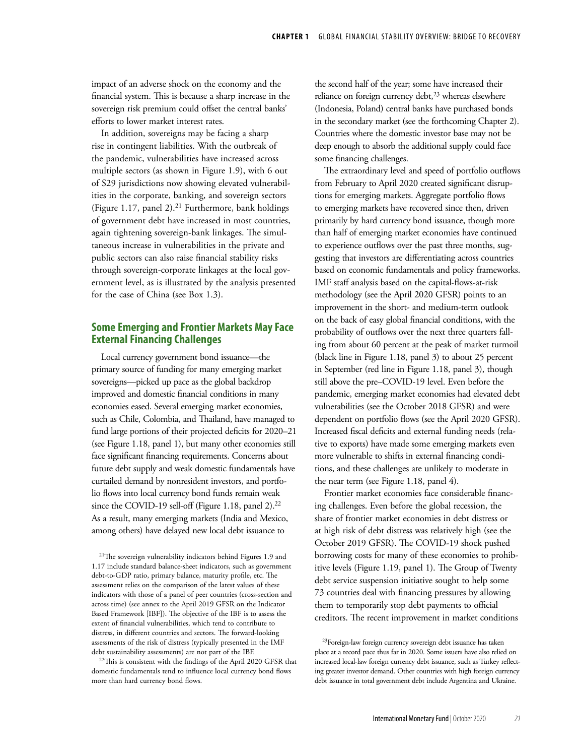impact of an adverse shock on the economy and the financial system. This is because a sharp increase in the sovereign risk premium could offset the central banks' efforts to lower market interest rates.

In addition, sovereigns may be facing a sharp rise in contingent liabilities. With the outbreak of the pandemic, vulnerabilities have increased across multiple sectors (as shown in Figure 1.9), with 6 out of S29 jurisdictions now showing elevated vulnerabilities in the corporate, banking, and sovereign sectors (Figure 1.17, panel 2). $21$  Furthermore, bank holdings of government debt have increased in most countries, again tightening sovereign-bank linkages. The simultaneous increase in vulnerabilities in the private and public sectors can also raise financial stability risks through sovereign-corporate linkages at the local government level, as is illustrated by the analysis presented for the case of China (see Box 1.3).

# **Some Emerging and Frontier Markets May Face External Financing Challenges**

Local currency government bond issuance—the primary source of funding for many emerging market sovereigns—picked up pace as the global backdrop improved and domestic financial conditions in many economies eased. Several emerging market economies, such as Chile, Colombia, and Thailand, have managed to fund large portions of their projected deficits for 2020–21 (see Figure 1.18, panel 1), but many other economies still face significant financing requirements. Concerns about future debt supply and weak domestic fundamentals have curtailed demand by nonresident investors, and portfolio flows into local currency bond funds remain weak since the COVID-19 sell-off (Figure 1.18, panel 2).<sup>22</sup> As a result, many emerging markets (India and Mexico, among others) have delayed new local debt issuance to

22This is consistent with the findings of the April 2020 GFSR that domestic fundamentals tend to influence local currency bond flows more than hard currency bond flows.

the second half of the year; some have increased their reliance on foreign currency debt,<sup>23</sup> whereas elsewhere (Indonesia, Poland) central banks have purchased bonds in the secondary market (see the forthcoming Chapter 2). Countries where the domestic investor base may not be deep enough to absorb the additional supply could face some financing challenges.

The extraordinary level and speed of portfolio outflows from February to April 2020 created significant disruptions for emerging markets. Aggregate portfolio flows to emerging markets have recovered since then, driven primarily by hard currency bond issuance, though more than half of emerging market economies have continued to experience outflows over the past three months, suggesting that investors are differentiating across countries based on economic fundamentals and policy frameworks. IMF staff analysis based on the capital-flows-at-risk methodology (see the April 2020 GFSR) points to an improvement in the short- and medium-term outlook on the back of easy global financial conditions, with the probability of outflows over the next three quarters falling from about 60 percent at the peak of market turmoil (black line in Figure 1.18, panel 3) to about 25 percent in September (red line in Figure 1.18, panel 3), though still above the pre–COVID-19 level. Even before the pandemic, emerging market economies had elevated debt vulnerabilities (see the October 2018 GFSR) and were dependent on portfolio flows (see the April 2020 GFSR). Increased fiscal deficits and external funding needs (relative to exports) have made some emerging markets even more vulnerable to shifts in external financing conditions, and these challenges are unlikely to moderate in the near term (see Figure 1.18, panel 4).

Frontier market economies face considerable financing challenges. Even before the global recession, the share of frontier market economies in debt distress or at high risk of debt distress was relatively high (see the October 2019 GFSR). The COVID-19 shock pushed borrowing costs for many of these economies to prohibitive levels (Figure 1.19, panel 1). The Group of Twenty debt service suspension initiative sought to help some 73 countries deal with financing pressures by allowing them to temporarily stop debt payments to official creditors. The recent improvement in market conditions

<sup>21</sup>The sovereign vulnerability indicators behind Figures 1.9 and 1.17 include standard balance-sheet indicators, such as government debt-to-GDP ratio, primary balance, maturity profile, etc. The assessment relies on the comparison of the latest values of these indicators with those of a panel of peer countries (cross-section and across time) (see annex to the April 2019 GFSR on the Indicator Based Framework [IBF]). The objective of the IBF is to assess the extent of financial vulnerabilities, which tend to contribute to distress, in different countries and sectors. The forward-looking assessments of the risk of distress (typically presented in the IMF debt sustainability assessments) are not part of the IBF.

<sup>23</sup>Foreign-law foreign currency sovereign debt issuance has taken place at a record pace thus far in 2020. Some issuers have also relied on increased local-law foreign currency debt issuance, such as Turkey reflecting greater investor demand. Other countries with high foreign currency debt issuance in total government debt include Argentina and Ukraine.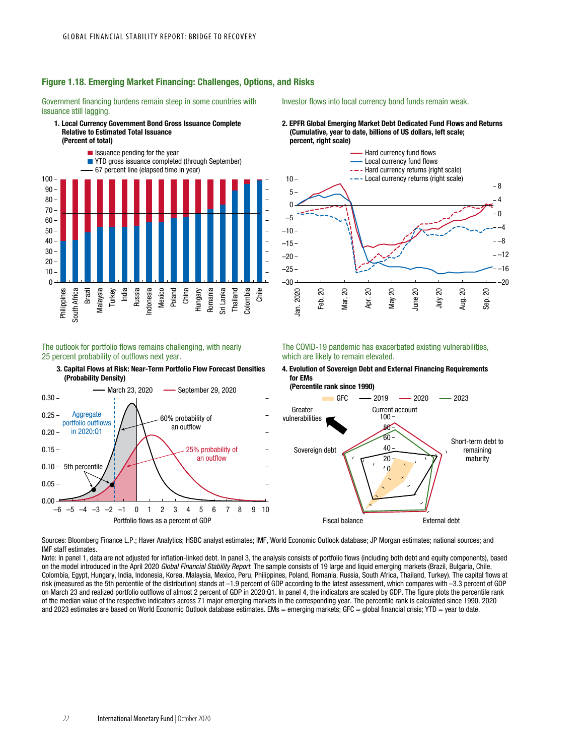

# Figure 1.18. Emerging Market Financing: Challenges, Options, and Risks

Government financing burdens remain steep in some countries with issuance still lagging.

# 1. Local Currency Government Bond Gross Issuance Complete

Investor flows into local currency bond funds remain weak.

2. EPFR Global Emerging Market Debt Dedicated Fund Flows and Returns (Cumulative, year to date, billions of US dollars, left scale; percent, right scale)



### The outlook for portfolio flows remains challenging, with nearly 25 percent probability of outflows next year.

3. Capital Flows at Risk: Near-Term Portfolio Flow Forecast Densities (Probability Density)







Sources: Bloomberg Finance L.P.; Haver Analytics; HSBC analyst estimates; IMF, World Economic Outlook database; JP Morgan estimates; national sources; and IMF staff estimates.

Note: In panel 1, data are not adjusted for inflation-linked debt. In panel 3, the analysis consists of portfolio flows (including both debt and equity components), based on the model introduced in the April 2020 *Global Financial Stability Report*. The sample consists of 19 large and liquid emerging markets (Brazil, Bulgaria, Chile, Colombia, Egypt, Hungary, India, Indonesia, Korea, Malaysia, Mexico, Peru, Philippines, Poland, Romania, Russia, South Africa, Thailand, Turkey). The capital flows at risk (measured as the 5th percentile of the distribution) stands at –1.9 percent of GDP according to the latest assessment, which compares with –3.3 percent of GDP on March 23 and realized portfolio outflows of almost 2 percent of GDP in 2020:Q1. In panel 4, the indicators are scaled by GDP. The figure plots the percentile rank of the median value of the respective indicators across 71 major emerging markets in the corresponding year. The percentile rank is calculated since 1990. 2020 and 2023 estimates are based on World Economic Outlook database estimates. EMs = emerging markets; GFC = global financial crisis; YTD = year to date.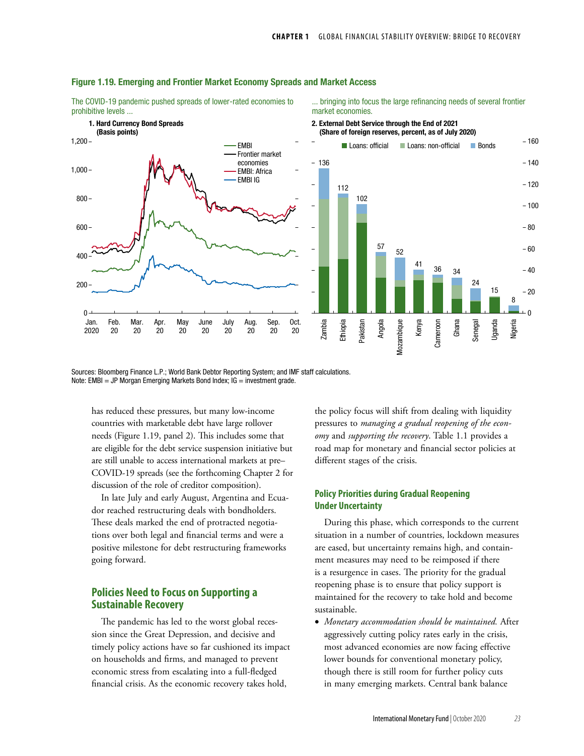

### Figure 1.19. Emerging and Frontier Market Economy Spreads and Market Access

The COVID-19 pandemic pushed spreads of lower-rated economies to prohibitive levels ...

... bringing into focus the large refinancing needs of several frontier market economies.

Sources: Bloomberg Finance L.P.; World Bank Debtor Reporting System; and IMF staff calculations. Note: EMBI = JP Morgan Emerging Markets Bond Index;  $IG =$  investment grade.

has reduced these pressures, but many low-income countries with marketable debt have large rollover needs (Figure 1.19, panel 2). This includes some that are eligible for the debt service suspension initiative but are still unable to access international markets at pre– COVID-19 spreads (see the forthcoming Chapter 2 for discussion of the role of creditor composition).

In late July and early August, Argentina and Ecuador reached restructuring deals with bondholders. These deals marked the end of protracted negotiations over both legal and financial terms and were a positive milestone for debt restructuring frameworks going forward.

# **Policies Need to Focus on Supporting a Sustainable Recovery**

The pandemic has led to the worst global recession since the Great Depression, and decisive and timely policy actions have so far cushioned its impact on households and firms, and managed to prevent economic stress from escalating into a full-fledged financial crisis. As the economic recovery takes hold,

the policy focus will shift from dealing with liquidity pressures to *managing a gradual reopening of the economy* and *supporting the recovery*. Table 1.1 provides a road map for monetary and financial sector policies at different stages of the crisis.

# **Policy Priorities during Gradual Reopening Under Uncertainty**

During this phase, which corresponds to the current situation in a number of countries, lockdown measures are eased, but uncertainty remains high, and containment measures may need to be reimposed if there is a resurgence in cases. The priority for the gradual reopening phase is to ensure that policy support is maintained for the recovery to take hold and become sustainable.

• *Monetary accommodation should be maintained.* After aggressively cutting policy rates early in the crisis, most advanced economies are now facing effective lower bounds for conventional monetary policy, though there is still room for further policy cuts in many emerging markets. Central bank balance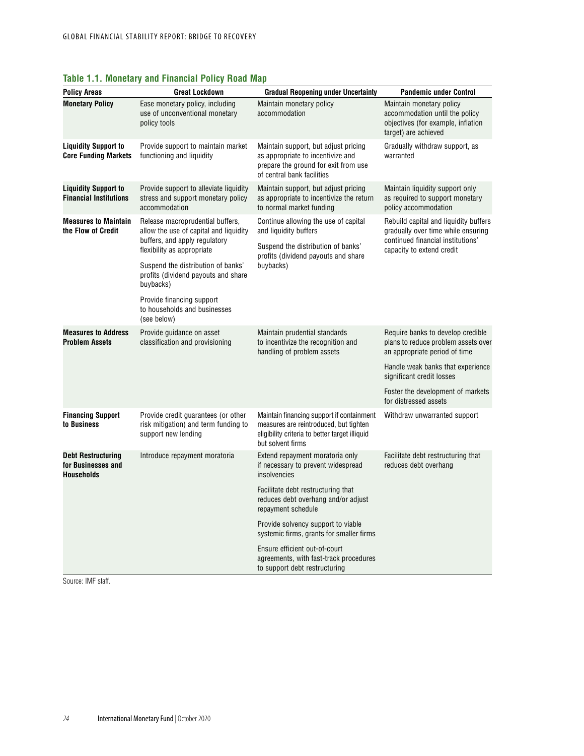| <b>Policy Areas</b>                                                  | <b>Great Lockdown</b>                                                                                                                                                                                                                                                                                           | <b>Gradual Reopening under Uncertainty</b>                                                                                                                 | <b>Pandemic under Control</b>                                                                                                                                                                                                             |  |  |
|----------------------------------------------------------------------|-----------------------------------------------------------------------------------------------------------------------------------------------------------------------------------------------------------------------------------------------------------------------------------------------------------------|------------------------------------------------------------------------------------------------------------------------------------------------------------|-------------------------------------------------------------------------------------------------------------------------------------------------------------------------------------------------------------------------------------------|--|--|
| <b>Monetary Policy</b>                                               | Ease monetary policy, including<br>use of unconventional monetary<br>policy tools                                                                                                                                                                                                                               | Maintain monetary policy<br>accommodation                                                                                                                  | Maintain monetary policy<br>accommodation until the policy<br>objectives (for example, inflation<br>target) are achieved                                                                                                                  |  |  |
| <b>Liquidity Support to</b><br><b>Core Funding Markets</b>           | Provide support to maintain market<br>functioning and liquidity                                                                                                                                                                                                                                                 | Maintain support, but adjust pricing<br>as appropriate to incentivize and<br>prepare the ground for exit from use<br>of central bank facilities            | Gradually withdraw support, as<br>warranted                                                                                                                                                                                               |  |  |
| <b>Liquidity Support to</b><br><b>Financial Institutions</b>         | Provide support to alleviate liquidity<br>stress and support monetary policy<br>accommodation                                                                                                                                                                                                                   | Maintain support, but adjust pricing<br>as appropriate to incentivize the return<br>to normal market funding                                               | Maintain liquidity support only<br>as required to support monetary<br>policy accommodation                                                                                                                                                |  |  |
| <b>Measures to Maintain</b><br>the Flow of Credit                    | Release macroprudential buffers,<br>allow the use of capital and liquidity<br>buffers, and apply regulatory<br>flexibility as appropriate<br>Suspend the distribution of banks'<br>profits (dividend payouts and share<br>buybacks)<br>Provide financing support<br>to households and businesses<br>(see below) | Continue allowing the use of capital<br>and liquidity buffers<br>Suspend the distribution of banks'<br>profits (dividend payouts and share<br>buybacks)    | Rebuild capital and liquidity buffers<br>gradually over time while ensuring<br>continued financial institutions'<br>capacity to extend credit                                                                                             |  |  |
| <b>Measures to Address</b><br><b>Problem Assets</b>                  | Provide guidance on asset<br>classification and provisioning                                                                                                                                                                                                                                                    | Maintain prudential standards<br>to incentivize the recognition and<br>handling of problem assets                                                          | Require banks to develop credible<br>plans to reduce problem assets over<br>an appropriate period of time<br>Handle weak banks that experience<br>significant credit losses<br>Foster the development of markets<br>for distressed assets |  |  |
| <b>Financing Support</b><br>to Business                              | Provide credit guarantees (or other<br>risk mitigation) and term funding to<br>support new lending                                                                                                                                                                                                              | Maintain financing support if containment<br>measures are reintroduced, but tighten<br>eligibility criteria to better target illiquid<br>but solvent firms | Withdraw unwarranted support                                                                                                                                                                                                              |  |  |
| <b>Debt Restructuring</b><br>for Businesses and<br><b>Households</b> | Introduce repayment moratoria                                                                                                                                                                                                                                                                                   | Extend repayment moratoria only<br>if necessary to prevent widespread<br>insolvencies                                                                      | Facilitate debt restructuring that<br>reduces debt overhang                                                                                                                                                                               |  |  |
|                                                                      |                                                                                                                                                                                                                                                                                                                 | Facilitate debt restructuring that<br>reduces debt overhang and/or adjust<br>repayment schedule                                                            |                                                                                                                                                                                                                                           |  |  |
|                                                                      |                                                                                                                                                                                                                                                                                                                 | Provide solvency support to viable<br>systemic firms, grants for smaller firms                                                                             |                                                                                                                                                                                                                                           |  |  |
|                                                                      |                                                                                                                                                                                                                                                                                                                 | Ensure efficient out-of-court<br>agreements, with fast-track procedures<br>to support debt restructuring                                                   |                                                                                                                                                                                                                                           |  |  |

# **Table 1.1. Monetary and Financial Policy Road Map**

Source: IMF staff.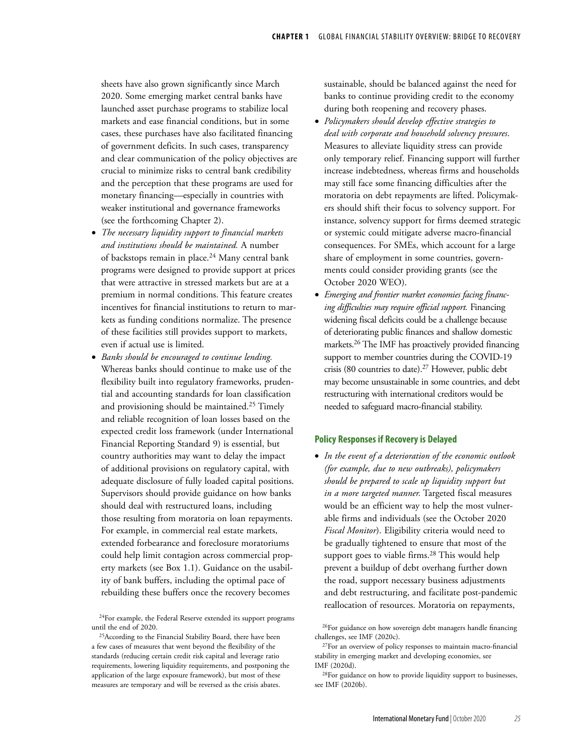sheets have also grown significantly since March 2020. Some emerging market central banks have launched asset purchase programs to stabilize local markets and ease financial conditions, but in some cases, these purchases have also facilitated financing of government deficits. In such cases, transparency and clear communication of the policy objectives are crucial to minimize risks to central bank credibility and the perception that these programs are used for monetary financing—especially in countries with weaker institutional and governance frameworks (see the forthcoming Chapter 2).

- *The necessary liquidity support to financial markets and institutions should be maintained.* A number of backstops remain in place.<sup>24</sup> Many central bank programs were designed to provide support at prices that were attractive in stressed markets but are at a premium in normal conditions. This feature creates incentives for financial institutions to return to markets as funding conditions normalize. The presence of these facilities still provides support to markets, even if actual use is limited.
- *Banks should be encouraged to continue lending.* Whereas banks should continue to make use of the flexibility built into regulatory frameworks, prudential and accounting standards for loan classification and provisioning should be maintained.25 Timely and reliable recognition of loan losses based on the expected credit loss framework (under International Financial Reporting Standard 9) is essential, but country authorities may want to delay the impact of additional provisions on regulatory capital, with adequate disclosure of fully loaded capital positions. Supervisors should provide guidance on how banks should deal with restructured loans, including those resulting from moratoria on loan repayments. For example, in commercial real estate markets, extended forbearance and foreclosure moratoriums could help limit contagion across commercial property markets (see Box 1.1). Guidance on the usability of bank buffers, including the optimal pace of rebuilding these buffers once the recovery becomes

sustainable, should be balanced against the need for banks to continue providing credit to the economy during both reopening and recovery phases.

- *Policymakers should develop effective strategies to deal with corporate and household solvency pressures*. Measures to alleviate liquidity stress can provide only temporary relief. Financing support will further increase indebtedness, whereas firms and households may still face some financing difficulties after the moratoria on debt repayments are lifted. Policymakers should shift their focus to solvency support. For instance, solvency support for firms deemed strategic or systemic could mitigate adverse macro-financial consequences. For SMEs, which account for a large share of employment in some countries, governments could consider providing grants (see the October 2020 WEO).
- *Emerging and frontier market economies facing financing difficulties may require official support.* Financing widening fiscal deficits could be a challenge because of deteriorating public finances and shallow domestic markets.26 The IMF has proactively provided financing support to member countries during the COVID-19 crisis (80 countries to date).27 However, public debt may become unsustainable in some countries, and debt restructuring with international creditors would be needed to safeguard macro-financial stability.

### **Policy Responses if Recovery is Delayed**

• *In the event of a deterioration of the economic outlook (for example, due to new outbreaks), policymakers should be prepared to scale up liquidity support but in a more targeted manner.* Targeted fiscal measures would be an efficient way to help the most vulnerable firms and individuals (see the October 2020 *Fiscal Monitor*). Eligibility criteria would need to be gradually tightened to ensure that most of the support goes to viable firms.<sup>28</sup> This would help prevent a buildup of debt overhang further down the road, support necessary business adjustments and debt restructuring, and facilitate post-pandemic reallocation of resources. Moratoria on repayments,

<sup>&</sup>lt;sup>24</sup>For example, the Federal Reserve extended its support programs until the end of 2020.

<sup>&</sup>lt;sup>25</sup>According to the Financial Stability Board, there have been a few cases of measures that went beyond the flexibility of the standards (reducing certain credit risk capital and leverage ratio requirements, lowering liquidity requirements, and postponing the application of the large exposure framework), but most of these measures are temporary and will be reversed as the crisis abates.

<sup>26</sup>For guidance on how sovereign debt managers handle financing challenges, see IMF (2020c).

<sup>27</sup>For an overview of policy responses to maintain macro-financial stability in emerging market and developing economies, see IMF (2020d).

<sup>28</sup>For guidance on how to provide liquidity support to businesses, see IMF (2020b).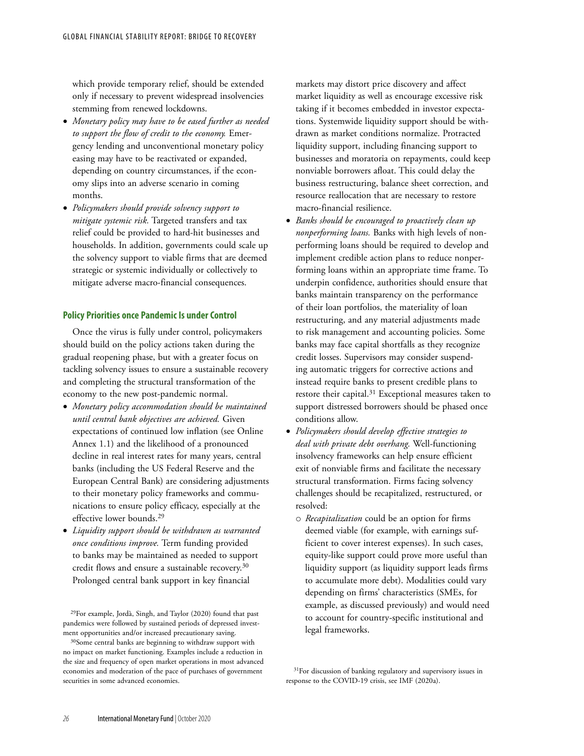which provide temporary relief, should be extended only if necessary to prevent widespread insolvencies stemming from renewed lockdowns.

- *Monetary policy may have to be eased further as needed to support the flow of credit to the economy.* Emergency lending and unconventional monetary policy easing may have to be reactivated or expanded, depending on country circumstances, if the economy slips into an adverse scenario in coming months.
- *Policymakers should provide solvency support to mitigate systemic risk.* Targeted transfers and tax relief could be provided to hard-hit businesses and households. In addition, governments could scale up the solvency support to viable firms that are deemed strategic or systemic individually or collectively to mitigate adverse macro-financial consequences.

### **Policy Priorities once Pandemic Is under Control**

Once the virus is fully under control, policymakers should build on the policy actions taken during the gradual reopening phase, but with a greater focus on tackling solvency issues to ensure a sustainable recovery and completing the structural transformation of the economy to the new post-pandemic normal.

- *Monetary policy accommodation should be maintained until central bank objectives are achieved.* Given expectations of continued low inflation (see Online Annex 1.1) and the likelihood of a pronounced decline in real interest rates for many years, central banks (including the US Federal Reserve and the European Central Bank) are considering adjustments to their monetary policy frameworks and communications to ensure policy efficacy, especially at the effective lower bounds.29
- *Liquidity support should be withdrawn as warranted once conditions improve.* Term funding provided to banks may be maintained as needed to support credit flows and ensure a sustainable recovery.30 Prolonged central bank support in key financial

29For example, Jordà, Singh, and Taylor (2020) found that past pandemics were followed by sustained periods of depressed investment opportunities and/or increased precautionary saving.

markets may distort price discovery and affect market liquidity as well as encourage excessive risk taking if it becomes embedded in investor expectations. Systemwide liquidity support should be withdrawn as market conditions normalize. Protracted liquidity support, including financing support to businesses and moratoria on repayments, could keep nonviable borrowers afloat. This could delay the business restructuring, balance sheet correction, and resource reallocation that are necessary to restore macro-financial resilience.

- *Banks should be encouraged to proactively clean up nonperforming loans.* Banks with high levels of nonperforming loans should be required to develop and implement credible action plans to reduce nonperforming loans within an appropriate time frame. To underpin confidence, authorities should ensure that banks maintain transparency on the performance of their loan portfolios, the materiality of loan restructuring, and any material adjustments made to risk management and accounting policies. Some banks may face capital shortfalls as they recognize credit losses. Supervisors may consider suspending automatic triggers for corrective actions and instead require banks to present credible plans to restore their capital.<sup>31</sup> Exceptional measures taken to support distressed borrowers should be phased once conditions allow.
- *Policymakers should develop effective strategies to deal with private debt overhang.* Well-functioning insolvency frameworks can help ensure efficient exit of nonviable firms and facilitate the necessary structural transformation. Firms facing solvency challenges should be recapitalized, restructured, or resolved:
	- o *Recapitalization* could be an option for firms deemed viable (for example, with earnings sufficient to cover interest expenses). In such cases, equity-like support could prove more useful than liquidity support (as liquidity support leads firms to accumulate more debt). Modalities could vary depending on firms' characteristics (SMEs, for example, as discussed previously) and would need to account for country-specific institutional and legal frameworks.

<sup>31</sup>For discussion of banking regulatory and supervisory issues in response to the COVID-19 crisis, see IMF (2020a).

<sup>30</sup>Some central banks are beginning to withdraw support with no impact on market functioning. Examples include a reduction in the size and frequency of open market operations in most advanced economies and moderation of the pace of purchases of government securities in some advanced economies.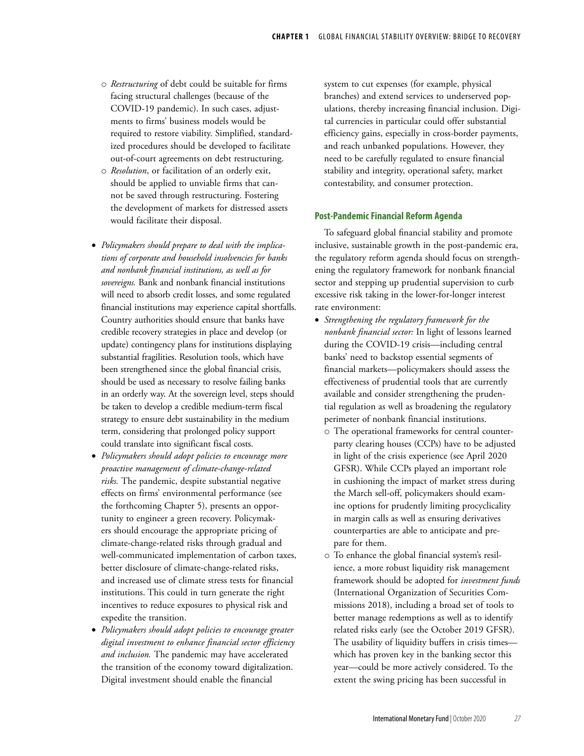- o *Restructuring* of debt could be suitable for firms facing structural challenges (because of the COVID-19 pandemic). In such cases, adjustments to firms' business models would be required to restore viability. Simplified, standardized procedures should be developed to facilitate out-of-court agreements on debt restructuring.
- o *Resolution*, or facilitation of an orderly exit, should be applied to unviable firms that cannot be saved through restructuring. Fostering the development of markets for distressed assets would facilitate their disposal.
- *Policymakers should prepare to deal with the implications of corporate and household insolvencies for banks and nonbank financial institutions, as well as for sovereigns.* Bank and nonbank financial institutions will need to absorb credit losses, and some regulated financial institutions may experience capital shortfalls. Country authorities should ensure that banks have credible recovery strategies in place and develop (or update) contingency plans for institutions displaying substantial fragilities. Resolution tools, which have been strengthened since the global financial crisis, should be used as necessary to resolve failing banks in an orderly way. At the sovereign level, steps should be taken to develop a credible medium-term fiscal strategy to ensure debt sustainability in the medium term, considering that prolonged policy support could translate into significant fiscal costs.
- *Policymakers should adopt policies to encourage more proactive management of climate-change-related risks.* The pandemic, despite substantial negative effects on firms' environmental performance (see the forthcoming Chapter 5), presents an opportunity to engineer a green recovery. Policymakers should encourage the appropriate pricing of climate-change-related risks through gradual and well-communicated implementation of carbon taxes, better disclosure of climate-change-related risks, and increased use of climate stress tests for financial institutions. This could in turn generate the right incentives to reduce exposures to physical risk and expedite the transition.
- *Policymakers should adopt policies to encourage greater digital investment to enhance financial sector efficiency and inclusion.* The pandemic may have accelerated the transition of the economy toward digitalization. Digital investment should enable the financial

system to cut expenses (for example, physical branches) and extend services to underserved populations, thereby increasing financial inclusion. Digital currencies in particular could offer substantial efficiency gains, especially in cross-border payments, and reach unbanked populations. However, they need to be carefully regulated to ensure financial stability and integrity, operational safety, market contestability, and consumer protection.

### **Post-Pandemic Financial Reform Agenda**

To safeguard global financial stability and promote inclusive, sustainable growth in the post-pandemic era, the regulatory reform agenda should focus on strengthening the regulatory framework for nonbank financial sector and stepping up prudential supervision to curb excessive risk taking in the lower-for-longer interest rate environment:

- *Strengthening the regulatory framework for the nonbank financial sector:* In light of lessons learned during the COVID-19 crisis—including central banks' need to backstop essential segments of financial markets—policymakers should assess the effectiveness of prudential tools that are currently available and consider strengthening the prudential regulation as well as broadening the regulatory perimeter of nonbank financial institutions.
	- o The operational frameworks for central counterparty clearing houses (CCPs) have to be adjusted in light of the crisis experience (see April 2020 GFSR). While CCPs played an important role in cushioning the impact of market stress during the March sell-off, policymakers should examine options for prudently limiting procyclicality in margin calls as well as ensuring derivatives counterparties are able to anticipate and prepare for them.
	- o To enhance the global financial system's resilience, a more robust liquidity risk management framework should be adopted for *investment funds* (International Organization of Securities Commissions 2018), including a broad set of tools to better manage redemptions as well as to identify related risks early (see the October 2019 GFSR). The usability of liquidity buffers in crisis times which has proven key in the banking sector this year—could be more actively considered. To the extent the swing pricing has been successful in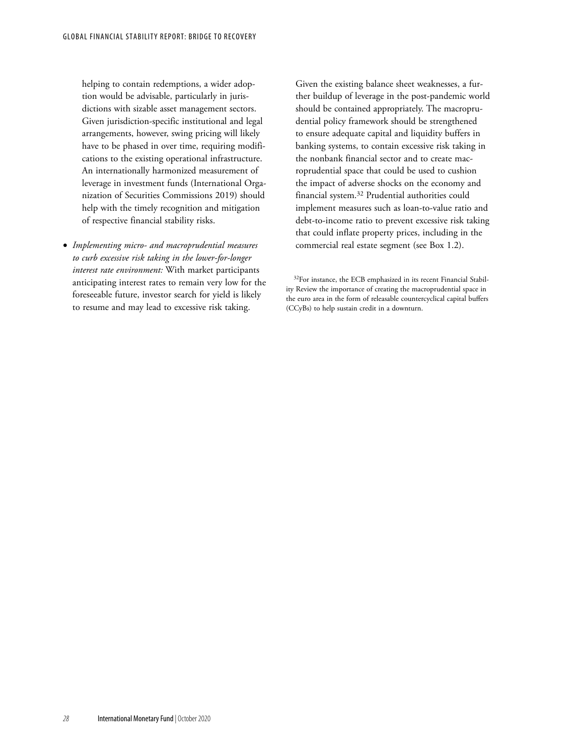helping to contain redemptions, a wider adoption would be advisable, particularly in jurisdictions with sizable asset management sectors. Given jurisdiction-specific institutional and legal arrangements, however, swing pricing will likely have to be phased in over time, requiring modifications to the existing operational infrastructure. An internationally harmonized measurement of leverage in investment funds (International Organization of Securities Commissions 2019) should help with the timely recognition and mitigation of respective financial stability risks.

• *Implementing micro- and macroprudential measures to curb excessive risk taking in the lower-for-longer interest rate environment:* With market participants anticipating interest rates to remain very low for the foreseeable future, investor search for yield is likely to resume and may lead to excessive risk taking.

Given the existing balance sheet weaknesses, a further buildup of leverage in the post-pandemic world should be contained appropriately. The macroprudential policy framework should be strengthened to ensure adequate capital and liquidity buffers in banking systems, to contain excessive risk taking in the nonbank financial sector and to create macroprudential space that could be used to cushion the impact of adverse shocks on the economy and financial system.32 Prudential authorities could implement measures such as loan-to-value ratio and debt-to-income ratio to prevent excessive risk taking that could inflate property prices, including in the commercial real estate segment (see Box 1.2).

<sup>&</sup>lt;sup>32</sup>For instance, the ECB emphasized in its recent Financial Stability Review the importance of creating the macroprudential space in the euro area in the form of releasable countercyclical capital buffers (CCyBs) to help sustain credit in a downturn.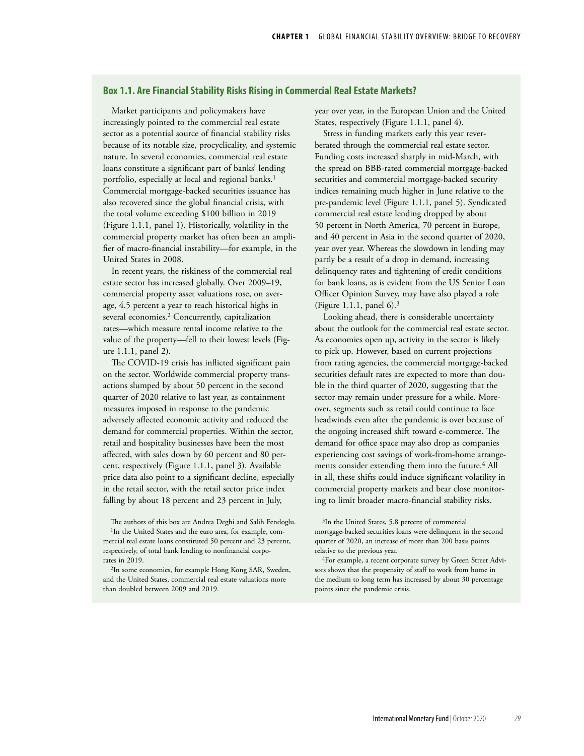## **Box 1.1. Are Financial Stability Risks Rising in Commercial Real Estate Markets?**

Market participants and policymakers have increasingly pointed to the commercial real estate sector as a potential source of financial stability risks because of its notable size, procyclicality, and systemic nature. In several economies, commercial real estate loans constitute a significant part of banks' lending portfolio, especially at local and regional banks.<sup>1</sup> Commercial mortgage-backed securities issuance has also recovered since the global financial crisis, with the total volume exceeding \$100 billion in 2019 (Figure 1.1.1, panel 1). Historically, volatility in the commercial property market has often been an amplifier of macro-financial instability—for example, in the United States in 2008.

In recent years, the riskiness of the commercial real estate sector has increased globally. Over 2009–19, commercial property asset valuations rose, on average, 4.5 percent a year to reach historical highs in several economies.<sup>2</sup> Concurrently, capitalization rates—which measure rental income relative to the value of the property—fell to their lowest levels (Figure 1.1.1, panel 2).

The COVID-19 crisis has inflicted significant pain on the sector. Worldwide commercial property transactions slumped by about 50 percent in the second quarter of 2020 relative to last year, as containment measures imposed in response to the pandemic adversely affected economic activity and reduced the demand for commercial properties. Within the sector, retail and hospitality businesses have been the most affected, with sales down by 60 percent and 80 percent, respectively (Figure 1.1.1, panel 3). Available price data also point to a significant decline, especially in the retail sector, with the retail sector price index falling by about 18 percent and 23 percent in July,

The authors of this box are Andrea Deghi and Salih Fendoglu. <sup>1</sup>In the United States and the euro area, for example, commercial real estate loans constituted 50 percent and 23 percent, respectively, of total bank lending to nonfinancial corporates in 2019.

2In some economies, for example Hong Kong SAR, Sweden, and the United States, commercial real estate valuations more than doubled between 2009 and 2019.

year over year, in the European Union and the United States, respectively (Figure 1.1.1, panel 4).

Stress in funding markets early this year reverberated through the commercial real estate sector. Funding costs increased sharply in mid-March, with the spread on BBB-rated commercial mortgage-backed securities and commercial mortgage-backed security indices remaining much higher in June relative to the pre-pandemic level (Figure 1.1.1, panel 5). Syndicated commercial real estate lending dropped by about 50 percent in North America, 70 percent in Europe, and 40 percent in Asia in the second quarter of 2020, year over year. Whereas the slowdown in lending may partly be a result of a drop in demand, increasing delinquency rates and tightening of credit conditions for bank loans, as is evident from the US Senior Loan Officer Opinion Survey, may have also played a role (Figure 1.1.1, panel  $6$ ).<sup>3</sup>

Looking ahead, there is considerable uncertainty about the outlook for the commercial real estate sector. As economies open up, activity in the sector is likely to pick up. However, based on current projections from rating agencies, the commercial mortgage-backed securities default rates are expected to more than double in the third quarter of 2020, suggesting that the sector may remain under pressure for a while. Moreover, segments such as retail could continue to face headwinds even after the pandemic is over because of the ongoing increased shift toward e-commerce. The demand for office space may also drop as companies experiencing cost savings of work-from-home arrangements consider extending them into the future.<sup>4</sup> All in all, these shifts could induce significant volatility in commercial property markets and bear close monitoring to limit broader macro-financial stability risks.

3In the United States, 5.8 percent of commercial mortgage-backed securities loans were delinquent in the second quarter of 2020, an increase of more than 200 basis points relative to the previous year.

4For example, a recent corporate survey by Green Street Advisors shows that the propensity of staff to work from home in the medium to long term has increased by about 30 percentage points since the pandemic crisis.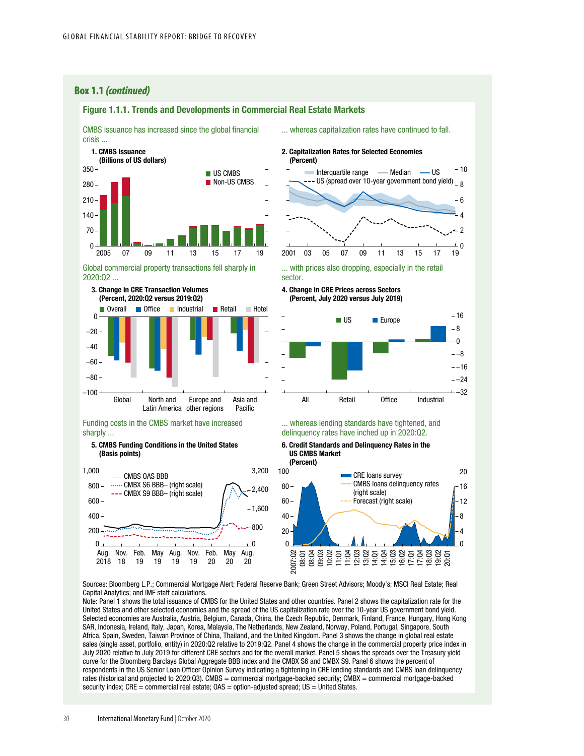### **Box 1.1** *(continued)*

### **US CMBS** Non-US CMBS 2005 07 09 11 13 15 17 19 2001 03 05 07 09 11 13 15 17 19  $\Omega$ 70 140 210 280 350 CMBS issuance has increased since the global financial crisis ... 1. CMBS Issuance (Billions of US dollars)

Figure 1.1.1. Trends and Developments in Commercial Real Estate Markets

### Global commercial property transactions fell sharply in 2020:Q2 ...



#### Funding costs in the CMBS market have increased sharply ...

#### 5. CMBS Funding Conditions in the United States (Basis points)



#### ... whereas capitalization rates have continued to fall.

#### 2. Capitalization Rates for Selected Economies (Percent)



... with prices also dropping, especially in the retail sector.

#### 4. Change in CRE Prices across Sectors (Percent, July 2020 versus July 2019)



#### ... whereas lending standards have tightened, and delinquency rates have inched up in 2020:Q2.

### 6. Credit Standards and Delinquency Rates in the US CMBS Market



Sources: Bloomberg L.P.; Commercial Mortgage Alert; Federal Reserve Bank; Green Street Advisors; Moody's; MSCI Real Estate; Real Capital Analytics; and IMF staff calculations.

Note: Panel 1 shows the total issuance of CMBS for the United States and other countries. Panel 2 shows the capitalization rate for the United States and other selected economies and the spread of the US capitalization rate over the 10-year US government bond yield. Selected economies are Australia, Austria, Belgium, Canada, China, the Czech Republic, Denmark, Finland, France, Hungary, Hong Kong SAR, Indonesia, Ireland, Italy, Japan, Korea, Malaysia, The Netherlands, New Zealand, Norway, Poland, Portugal, Singapore, South Africa, Spain, Sweden, Taiwan Province of China, Thailand, and the United Kingdom. Panel 3 shows the change in global real estate sales (single asset, portfolio, entity) in 2020:Q2 relative to 2019:Q2. Panel 4 shows the change in the commercial property price index in July 2020 relative to July 2019 for different CRE sectors and for the overall market. Panel 5 shows the spreads over the Treasury yield curve for the Bloomberg Barclays Global Aggregate BBB index and the CMBX S6 and CMBX S9. Panel 6 shows the percent of respondents in the US Senior Loan Officer Opinion Survey indicating a tightening in CRE lending standards and CMBS loan delinquency rates (historical and projected to 2020:Q3). CMBS = commercial mortgage-backed security; CMBX = commercial mortgage-backed security index; CRE = commercial real estate; OAS = option-adjusted spread; US = United States.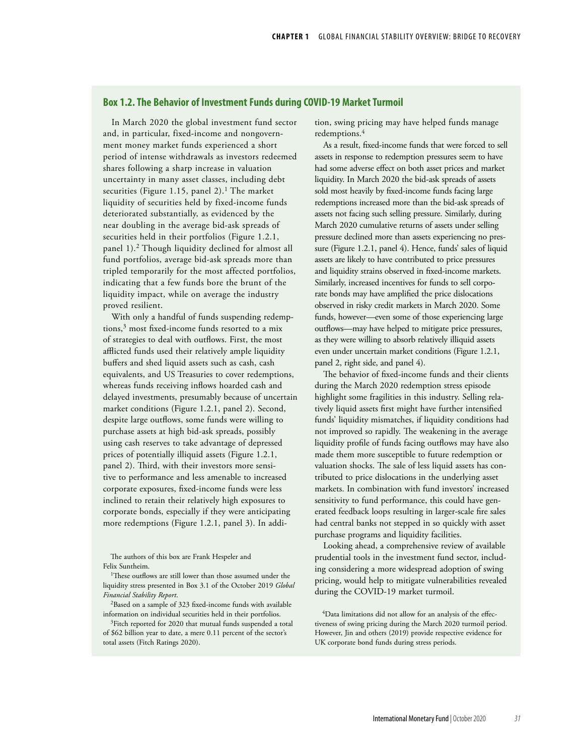### **Box 1.2. The Behavior of Investment Funds during COVID-19 Market Turmoil**

In March 2020 the global investment fund sector and, in particular, fixed-income and nongovernment money market funds experienced a short period of intense withdrawals as investors redeemed shares following a sharp increase in valuation uncertainty in many asset classes, including debt securities (Figure 1.15, panel 2).<sup>1</sup> The market liquidity of securities held by fixed-income funds deteriorated substantially, as evidenced by the near doubling in the average bid-ask spreads of securities held in their portfolios (Figure 1.2.1, panel 1).2 Though liquidity declined for almost all fund portfolios, average bid-ask spreads more than tripled temporarily for the most affected portfolios, indicating that a few funds bore the brunt of the liquidity impact, while on average the industry proved resilient.

With only a handful of funds suspending redemptions,3 most fixed-income funds resorted to a mix of strategies to deal with outflows. First, the most afflicted funds used their relatively ample liquidity buffers and shed liquid assets such as cash, cash equivalents, and US Treasuries to cover redemptions, whereas funds receiving inflows hoarded cash and delayed investments, presumably because of uncertain market conditions (Figure 1.2.1, panel 2). Second, despite large outflows, some funds were willing to purchase assets at high bid-ask spreads, possibly using cash reserves to take advantage of depressed prices of potentially illiquid assets (Figure 1.2.1, panel 2). Third, with their investors more sensitive to performance and less amenable to increased corporate exposures, fixed-income funds were less inclined to retain their relatively high exposures to corporate bonds, especially if they were anticipating more redemptions (Figure 1.2.1, panel 3). In addi-

The authors of this box are Frank Hespeler and Felix Suntheim.

<sup>1</sup>These outflows are still lower than those assumed under the liquidity stress presented in Box 3.1 of the October 2019 *Global Financial Stability Report*.

2Based on a sample of 323 fixed-income funds with available information on individual securities held in their portfolios.

<sup>3</sup>Fitch reported for 2020 that mutual funds suspended a total of \$62 billion year to date, a mere 0.11 percent of the sector's total assets (Fitch Ratings 2020).

tion, swing pricing may have helped funds manage redemptions.4

As a result, fixed-income funds that were forced to sell assets in response to redemption pressures seem to have had some adverse effect on both asset prices and market liquidity. In March 2020 the bid-ask spreads of assets sold most heavily by fixed-income funds facing large redemptions increased more than the bid-ask spreads of assets not facing such selling pressure. Similarly, during March 2020 cumulative returns of assets under selling pressure declined more than assets experiencing no pressure (Figure 1.2.1, panel 4). Hence, funds' sales of liquid assets are likely to have contributed to price pressures and liquidity strains observed in fixed-income markets. Similarly, increased incentives for funds to sell corporate bonds may have amplified the price dislocations observed in risky credit markets in March 2020. Some funds, however—even some of those experiencing large outflows—may have helped to mitigate price pressures, as they were willing to absorb relatively illiquid assets even under uncertain market conditions (Figure 1.2.1, panel 2, right side, and panel 4).

The behavior of fixed-income funds and their clients during the March 2020 redemption stress episode highlight some fragilities in this industry. Selling relatively liquid assets first might have further intensified funds' liquidity mismatches, if liquidity conditions had not improved so rapidly. The weakening in the average liquidity profile of funds facing outflows may have also made them more susceptible to future redemption or valuation shocks. The sale of less liquid assets has contributed to price dislocations in the underlying asset markets. In combination with fund investors' increased sensitivity to fund performance, this could have generated feedback loops resulting in larger-scale fire sales had central banks not stepped in so quickly with asset purchase programs and liquidity facilities.

Looking ahead, a comprehensive review of available prudential tools in the investment fund sector, including considering a more widespread adoption of swing pricing, would help to mitigate vulnerabilities revealed during the COVID-19 market turmoil.

4Data limitations did not allow for an analysis of the effectiveness of swing pricing during the March 2020 turmoil period. However, Jin and others (2019) provide respective evidence for UK corporate bond funds during stress periods.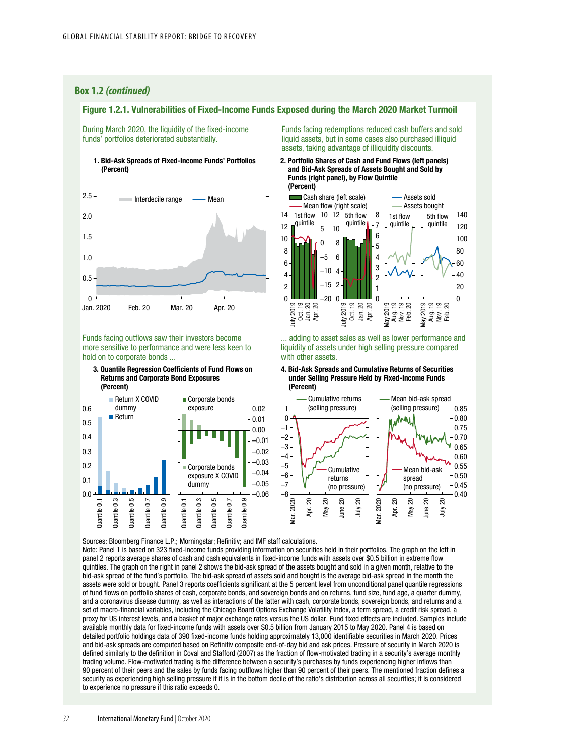### **Box 1.2** *(continued)*

## Figure 1.2.1. Vulnerabilities of Fixed-Income Funds Exposed during the March 2020 Market Turmoil

During March 2020, the liquidity of the fixed-income funds' portfolios deteriorated substantially.





Funds facing outflows saw their investors become more sensitive to performance and were less keen to hold on to corporate bonds ...

3. Quantile Regression Coefficients of Fund Flows on Returns and Corporate Bond Exposures





Funds facing redemptions reduced cash buffers and sold liquid assets, but in some cases also purchased illiquid assets, taking advantage of illiquidity discounts.

2. Portfolio Shares of Cash and Fund Flows (left panels) and Bid-Ask Spreads of Assets Bought and Sold by Funds (right panel), by Flow Quintile (Percent)



... adding to asset sales as well as lower performance and liquidity of assets under high selling pressure compared with other assets.

4. Bid-Ask Spreads and Cumulative Returns of Securities under Selling Pressure Held by Fixed-Income Funds (Percent)



Sources: Bloomberg Finance L.P.; Morningstar; Refinitiv; and IMF staff calculations. Note: Panel 1 is based on 323 fixed-income funds providing information on securities held in their portfolios. The graph on the left in panel 2 reports average shares of cash and cash equivalents in fixed-income funds with assets over \$0.5 billion in extreme flow quintiles. The graph on the right in panel 2 shows the bid-ask spread of the assets bought and sold in a given month, relative to the bid-ask spread of the fund's portfolio. The bid-ask spread of assets sold and bought is the average bid-ask spread in the month the assets were sold or bought. Panel 3 reports coefficients significant at the 5 percent level from unconditional panel quantile regressions of fund flows on portfolio shares of cash, corporate bonds, and sovereign bonds and on returns, fund size, fund age, a quarter dummy, and a coronavirus disease dummy, as well as interactions of the latter with cash, corporate bonds, sovereign bonds, and returns and a set of macro-financial variables, including the Chicago Board Options Exchange Volatility Index, a term spread, a credit risk spread, a proxy for US interest levels, and a basket of major exchange rates versus the US dollar. Fund fixed effects are included. Samples include available monthly data for fixed-income funds with assets over \$0.5 billion from January 2015 to May 2020. Panel 4 is based on detailed portfolio holdings data of 390 fixed-income funds holding approximately 13,000 identifiable securities in March 2020. Prices and bid-ask spreads are computed based on Refinitiv composite end-of-day bid and ask prices. Pressure of security in March 2020 is defined similarly to the definition in Coval and Stafford (2007) as the fraction of flow-motivated trading in a security's average monthly trading volume. Flow-motivated trading is the difference between a security's purchases by funds experiencing higher inflows than 90 percent of their peers and the sales by funds facing outflows higher than 90 percent of their peers. The mentioned fraction defines a security as experiencing high selling pressure if it is in the bottom decile of the ratio's distribution across all securities; it is considered to experience no pressure if this ratio exceeds 0.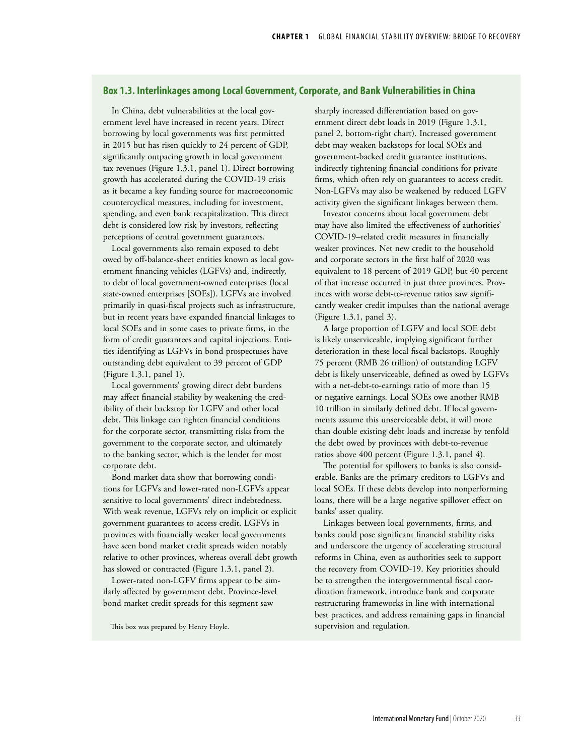## **Box 1.3. Interlinkages among Local Government, Corporate, and Bank Vulnerabilities in China**

In China, debt vulnerabilities at the local government level have increased in recent years. Direct borrowing by local governments was first permitted in 2015 but has risen quickly to 24 percent of GDP, significantly outpacing growth in local government tax revenues (Figure 1.3.1, panel 1). Direct borrowing growth has accelerated during the COVID-19 crisis as it became a key funding source for macroeconomic countercyclical measures, including for investment, spending, and even bank recapitalization. This direct debt is considered low risk by investors, reflecting perceptions of central government guarantees.

Local governments also remain exposed to debt owed by off-balance-sheet entities known as local government financing vehicles (LGFVs) and, indirectly, to debt of local government-owned enterprises (local state-owned enterprises [SOEs]). LGFVs are involved primarily in quasi-fiscal projects such as infrastructure, but in recent years have expanded financial linkages to local SOEs and in some cases to private firms, in the form of credit guarantees and capital injections. Entities identifying as LGFVs in bond prospectuses have outstanding debt equivalent to 39 percent of GDP (Figure 1.3.1, panel 1).

Local governments' growing direct debt burdens may affect financial stability by weakening the credibility of their backstop for LGFV and other local debt. This linkage can tighten financial conditions for the corporate sector, transmitting risks from the government to the corporate sector, and ultimately to the banking sector, which is the lender for most corporate debt.

Bond market data show that borrowing conditions for LGFVs and lower-rated non-LGFVs appear sensitive to local governments' direct indebtedness. With weak revenue, LGFVs rely on implicit or explicit government guarantees to access credit. LGFVs in provinces with financially weaker local governments have seen bond market credit spreads widen notably relative to other provinces, whereas overall debt growth has slowed or contracted (Figure 1.3.1, panel 2).

Lower-rated non-LGFV firms appear to be similarly affected by government debt. Province-level bond market credit spreads for this segment saw

This box was prepared by Henry Hoyle.

sharply increased differentiation based on government direct debt loads in 2019 (Figure 1.3.1, panel 2, bottom-right chart). Increased government debt may weaken backstops for local SOEs and government-backed credit guarantee institutions, indirectly tightening financial conditions for private firms, which often rely on guarantees to access credit. Non-LGFVs may also be weakened by reduced LGFV activity given the significant linkages between them.

Investor concerns about local government debt may have also limited the effectiveness of authorities' COVID-19–related credit measures in financially weaker provinces. Net new credit to the household and corporate sectors in the first half of 2020 was equivalent to 18 percent of 2019 GDP, but 40 percent of that increase occurred in just three provinces. Provinces with worse debt-to-revenue ratios saw significantly weaker credit impulses than the national average (Figure 1.3.1, panel 3).

A large proportion of LGFV and local SOE debt is likely unserviceable, implying significant further deterioration in these local fiscal backstops. Roughly 75 percent (RMB 26 trillion) of outstanding LGFV debt is likely unserviceable, defined as owed by LGFVs with a net-debt-to-earnings ratio of more than 15 or negative earnings. Local SOEs owe another RMB 10 trillion in similarly defined debt. If local governments assume this unserviceable debt, it will more than double existing debt loads and increase by tenfold the debt owed by provinces with debt-to-revenue ratios above 400 percent (Figure 1.3.1, panel 4).

The potential for spillovers to banks is also considerable. Banks are the primary creditors to LGFVs and local SOEs. If these debts develop into nonperforming loans, there will be a large negative spillover effect on banks' asset quality.

Linkages between local governments, firms, and banks could pose significant financial stability risks and underscore the urgency of accelerating structural reforms in China, even as authorities seek to support the recovery from COVID-19. Key priorities should be to strengthen the intergovernmental fiscal coordination framework, introduce bank and corporate restructuring frameworks in line with international best practices, and address remaining gaps in financial supervision and regulation.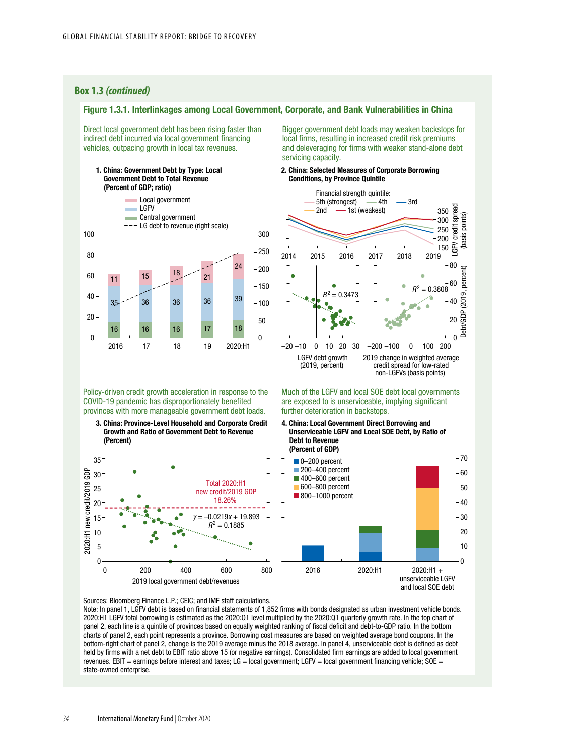### **Box 1.3** *(continued)*

### Figure 1.3.1. Interlinkages among Local Government, Corporate, and Bank Vulnerabilities in China

Direct local government debt has been rising faster than indirect debt incurred via local government financing vehicles, outpacing growth in local tax revenues.

1. China: Government Debt by Type: Local Government Debt to Total Revenue (Percent of GDP; ratio)



Policy-driven credit growth acceleration in response to the COVID-19 pandemic has disproportionately benefited provinces with more manageable government debt loads.

3. China: Province-Level Household and Corporate Credit Growth and Ratio of Government Debt to Revenue (Percent)



Bigger government debt loads may weaken backstops for local firms, resulting in increased credit risk premiums and deleveraging for firms with weaker stand-alone debt servicing capacity.

#### 2. China: Selected Measures of Corporate Borrowing Conditions, by Province Quintile



Much of the LGFV and local SOE debt local governments are exposed to is unserviceable, implying significant further deterioration in backstops.

<sup>4.</sup> China: Local Government Direct Borrowing and Unserviceable LGFV and Local SOE Debt, by Ratio of Debt to Revenue (Percent of GDP)



Sources: Bloomberg Finance L.P.; CEIC; and IMF staff calculations.

Note: In panel 1, LGFV debt is based on financial statements of 1,852 firms with bonds designated as urban investment vehicle bonds. 2020:H1 LGFV total borrowing is estimated as the 2020:Q1 level multiplied by the 2020:Q1 quarterly growth rate. In the top chart of panel 2, each line is a quintile of provinces based on equally weighted ranking of fiscal deficit and debt-to-GDP ratio. In the bottom charts of panel 2, each point represents a province. Borrowing cost measures are based on weighted average bond coupons. In the bottom-right chart of panel 2, change is the 2019 average minus the 2018 average. In panel 4, unserviceable debt is defined as debt held by firms with a net debt to EBIT ratio above 15 (or negative earnings). Consolidated firm earnings are added to local government revenues. EBIT = earnings before interest and taxes; LG = local government; LGFV = local government financing vehicle; SOE = state-owned enterprise.